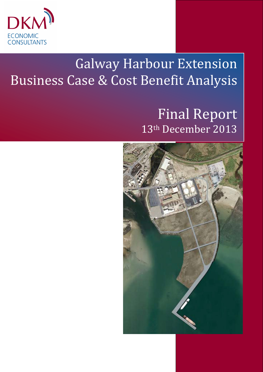

# Galway Harbour Extension Business Case & Cost Benefit Analysis

# Final Report 13th December 2013

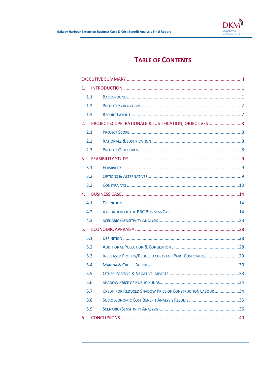

# **TABLE OF CONTENTS**

| 1.  |                                                                  |  |
|-----|------------------------------------------------------------------|--|
| 1.1 |                                                                  |  |
| 1.2 |                                                                  |  |
| 1.3 |                                                                  |  |
| 2.  |                                                                  |  |
| 2.1 |                                                                  |  |
| 2.2 |                                                                  |  |
| 2.3 |                                                                  |  |
| 3.  |                                                                  |  |
| 3.1 |                                                                  |  |
| 3.2 |                                                                  |  |
| 3.3 |                                                                  |  |
| 4.  |                                                                  |  |
| 4.1 |                                                                  |  |
| 4.2 |                                                                  |  |
| 4.3 |                                                                  |  |
| 5.  |                                                                  |  |
| 5.1 |                                                                  |  |
| 5.2 |                                                                  |  |
| 5.3 | INCREASED PROFITS/REDUCED COSTS FOR PORT CUSTOMERS29             |  |
| 5.4 |                                                                  |  |
| 5.5 |                                                                  |  |
| 5.6 |                                                                  |  |
| 5.7 | <b>CREDIT FOR REDUCED SHADOW PRICE OF CONSTRUCTION LABOUR 34</b> |  |
| 5.8 |                                                                  |  |
| 5.9 |                                                                  |  |
| 6.  |                                                                  |  |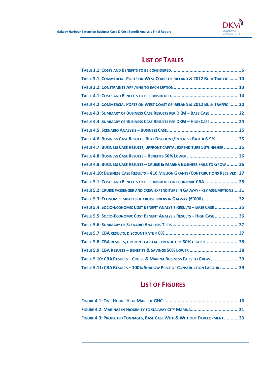

# LIST OF TABLES

| TABLE 3.1: COMMERCIAL PORTS ON WEST COAST OF IRELAND & 2012 BULK TRAFFIC  10       |
|------------------------------------------------------------------------------------|
|                                                                                    |
|                                                                                    |
| TABLE 4.2: COMMERCIAL PORTS ON WEST COAST OF IRELAND & 2012 BULK TRAFFIC  20       |
| TABLE 4.3: SUMMARY OF BUSINESS CASE RESULTS PER DKM - BASE CASE22                  |
| TABLE 4.4: SUMMARY OF BUSINESS CASE RESULTS PER DKM - HIGH CASE 24                 |
|                                                                                    |
| TABLE 4.6: BUSINESS CASE RESULTS, REAL DISCOUNT/INTEREST RATE = 6.9%  25           |
| TABLE 4.7: BUSINESS CASE RESULTS, UPFRONT CAPITAL EXPENDITURE 50% HIGHER  25       |
|                                                                                    |
| TABLE 4.9: BUSINESS CASE RESULTS - CRUISE & MARINA BUSINESS FAILS TO GROW  26      |
| TABLE 4.10: BUSINESS CASE RESULTS - €10 MILLION GRANTS/CONTRIBUTIONS RECEIVED . 27 |
| TABLE 5.1: COSTS AND BENEFITS TO BE CONSIDERED IN ECONOMIC CBA 28                  |
| TABLE 5.2: CRUISE PASSENGER AND CREW EXPENDITURE IN GALWAY - KEY ASSUMPTIONS 31    |
| TABLE 5.3: ECONOMIC IMPACTS OF CRUISE LINERS IN GALWAY (€'000)32                   |
| TABLE 5.4: SOCIO-ECONOMIC COST BENEFIT ANALYSIS RESULTS - BASE CASE 35             |
| TABLE 5.5: SOCIO-ECONOMIC COST BENEFIT ANALYSIS RESULTS - HIGH CASE  36            |
|                                                                                    |
|                                                                                    |
| TABLE 5.8: CBA RESULTS, UPFRONT CAPITAL EXPENDITURE 50% HIGHER  38                 |
|                                                                                    |
| TABLE 5.10: CBA RESULTS - CRUISE & MARINA BUSINESS FAILS TO GROW  39               |
| TABLE 5.11: CBA RESULTS - 100% SHADOW PRICE OF CONSTRUCTION LABOUR  39             |

# LIST OF FIGURES

| FIGURE 4.3: PROJECTED TONNAGES, BASE CASE WITH & WITHOUT DEVELOPMENT23 |  |
|------------------------------------------------------------------------|--|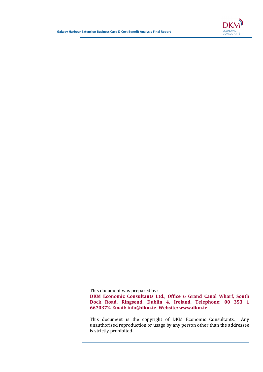

This document was prepared by:

DKM Economic Consultants Ltd., Office 6 Grand Canal Wharf, South Dock Road, Ringsend, Dublin 4, Ireland. Telephone: 00 353 1 6670372. Email: info@dkm.ie. Website: www.dkm.ie

This document is the copyright of DKM Economic Consultants. Any unauthorised reproduction or usage by any person other than the addressee is strictly prohibited.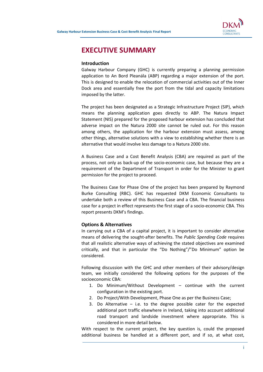

# EXECUTIVE SUMMARY

#### Introduction

Galway Harbour Company (GHC) is currently preparing a planning permission application to An Bord Pleanála (ABP) regarding a major extension of the port. This is designed to enable the relocation of commercial activities out of the Inner Dock area and essentially free the port from the tidal and capacity limitations imposed by the latter.

The project has been designated as a Strategic Infrastructure Project (SIP), which means the planning application goes directly to ABP. The Natura Impact Statement (NIS) prepared for the proposed harbour extension has concluded that adverse impact on the Natura 2000 site cannot be ruled out. For this reason among others, the application for the harbour extension must assess, among other things, alternative solutions with a view to establishing whether there is an alternative that would involve less damage to a Natura 2000 site.

A Business Case and a Cost Benefit Analysis (CBA) are required as part of the process, not only as back-up of the socio-economic case, but because they are a requirement of the Department of Transport in order for the Minister to grant permission for the project to proceed.

The Business Case for Phase One of the project has been prepared by Raymond Burke Consulting (RBC). GHC has requested DKM Economic Consultants to undertake both a review of this Business Case and a CBA. The financial business case for a project in effect represents the first stage of a socio-economic CBA. This report presents DKM's findings.

#### Options & Alternatives

In carrying out a CBA of a capital project, it is important to consider alternative means of delivering the sought-after benefits. The Public Spending Code requires that all realistic alternative ways of achieving the stated objectives are examined critically, and that in particular the "Do Nothing"/"Do Minimum" option be considered.

Following discussion with the GHC and other members of their advisory/design team, we initially considered the following options for the purposes of the socioeconomic CBA:

- 1. Do Minimum/Without Development continue with the current configuration in the existing port.
- 2. Do Project/With Development, Phase One as per the Business Case;
- 3. Do Alternative  $-$  i.e. to the degree possible cater for the expected additional port traffic elsewhere in Ireland, taking into account additional road transport and landside investment where appropriate. This is considered in more detail below.

With respect to the current project, the key question is, could the proposed additional business be handled at a different port, and if so, at what cost,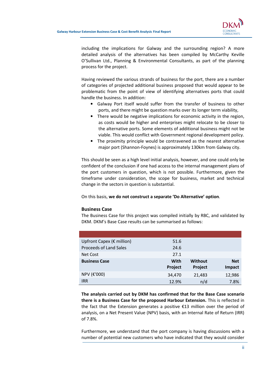

including the implications for Galway and the surrounding region? A more detailed analysis of the alternatives has been compiled by McCarthy Keville O'Sullivan Ltd., Planning & Environmental Consultants, as part of the planning process for the project.

Having reviewed the various strands of business for the port, there are a number of categories of projected additional business proposed that would appear to be problematic from the point of view of identifying alternatives ports that could handle the business. In addition:

- Galway Port itself would suffer from the transfer of business to other ports, and there might be question marks over its longer term viability,
- There would be negative implications for economic activity in the region, as costs would be higher and enterprises might relocate to be closer to the alternative ports. Some elements of additional business might not be viable. This would conflict with Government regional development policy.
- The proximity principle would be contravened as the nearest alternative major port (Shannon-Foynes) is approximately 130km from Galway city.

This should be seen as a high level initial analysis, however, and one could only be confident of the conclusion if one had access to the internal management plans of the port customers in question, which is not possible. Furthermore, given the timeframe under consideration, the scope for business, market and technical change in the sectors in question is substantial.

On this basis, we do not construct a separate 'Do Alternative' option.

#### Business Case

The Business Case for this project was compiled initially by RBC, and validated by DKM. DKM's Base Case results can be summarised as follows:

| Upfront Capex ( $\epsilon$ million) | 51.6    |         |            |
|-------------------------------------|---------|---------|------------|
| <b>Proceeds of Land Sales</b>       | 24.6    |         |            |
| Net Cost                            | 27.1    |         |            |
|                                     |         |         |            |
| <b>Business Case</b>                | With    | Without | <b>Net</b> |
|                                     | Project | Project | Impact     |
| NPV (€'000)                         | 34,470  | 21,483  | 12,986     |

The analysis carried out by DKM has confirmed that for the Base Case scenario there is a Business Case for the proposed Harbour Extension. This is reflected in the fact that the Extension generates a positive €13 million over the period of analysis, on a Net Present Value (NPV) basis, with an Internal Rate of Return (IRR) of 7.8%.

Furthermore, we understand that the port company is having discussions with a number of potential new customers who have indicated that they would consider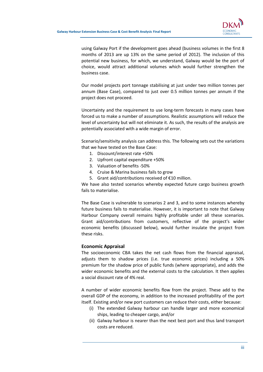

using Galway Port if the development goes ahead (business volumes in the first 8 months of 2013 are up 13% on the same period of 2012). The inclusion of this potential new business, for which, we understand, Galway would be the port of choice, would attract additional volumes which would further strengthen the business case.

Our model projects port tonnage stabilising at just under two million tonnes per annum (Base Case), compared to just over 0.5 million tonnes per annum if the project does not proceed.

Uncertainty and the requirement to use long-term forecasts in many cases have forced us to make a number of assumptions. Realistic assumptions will reduce the level of uncertainty but will not eliminate it. As such, the results of the analysis are potentially associated with a wide margin of error.

Scenario/sensitivity analysis can address this. The following sets out the variations that we have tested on the Base Case:

- 1. Discount/interest rate +50%
- 2. Upfront capital expenditure +50%
- 3. Valuation of benefits -50%
- 4. Cruise & Marina business fails to grow
- 5. Grant aid/contributions received of €10 million.

We have also tested scenarios whereby expected future cargo business growth fails to materialise.

The Base Case is vulnerable to scenarios 2 and 3, and to some instances whereby future business fails to materialise. However, it is important to note that Galway Harbour Company overall remains highly profitable under all these scenarios. Grant aid/contributions from customers, reflective of the project's wider economic benefits (discussed below), would further insulate the project from these risks.

#### Economic Appraisal

The socioeconomic CBA takes the net cash flows from the financial appraisal, adjusts them to shadow prices (i.e. true economic prices) including a 50% premium for the shadow price of public funds (where appropriate), and adds the wider economic benefits and the external costs to the calculation. It then applies a social discount rate of 4% real.

A number of wider economic benefits flow from the project. These add to the overall GDP of the economy, in addition to the increased profitability of the port itself. Existing and/or new port customers can reduce their costs, either because:

- (i) The extended Galway harbour can handle larger and more economical ships, leading to cheaper cargo, and/or
- (ii) Galway harbour is nearer than the next best port and thus land transport costs are reduced.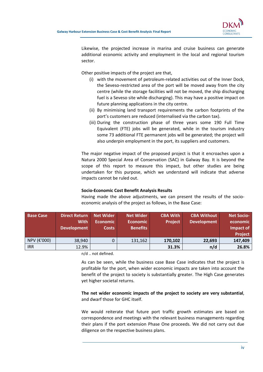

Likewise, the projected increase in marina and cruise business can generate additional economic activity and employment in the local and regional tourism sector.

Other positive impacts of the project are that,

- (i) with the movement of petroleum-related activities out of the Inner Dock, the Seveso-restricted area of the port will be moved away from the city centre (while the storage facilities will not be moved, the ship discharging fuel is a Seveso site while discharging). This may have a positive impact on future planning applications in the city centre.
- (ii) By minimising land transport requirements the carbon footprints of the port's customers are reduced (internalised via the carbon tax).
- (iii) During the construction phase of three years some 190 Full Time Equivalent (FTE) jobs will be generated, while in the tourism industry some 73 additional FTE permanent jobs will be generated; the project will also underpin employment in the port, its suppliers and customers.

The major negative impact of the proposed project is that it encroaches upon a Natura 2000 Special Area of Conservation (SAC) in Galway Bay. It is beyond the scope of this report to measure this impact, but other studies are being undertaken for this purpose, which we understand will indicate that adverse impacts cannot be ruled out.

#### Socio-Economic Cost Benefit Analysis Results

Having made the above adjustments, we can present the results of the socioeconomic analysis of the project as follows, in the Base Case:

| <b>Base Case</b>          | <b>Direct Return</b><br><b>With</b><br><b>Development</b> | <b>Net Wider</b><br><b>Economic</b><br><b>Costs</b> | <b>Net Wider</b><br><b>Economic</b><br><b>Benefits</b> | <b>CBA With</b><br><b>Project</b> | <b>CBA Without</b><br>Development | <b>Net Socio-</b><br>economic<br>Impact of<br><b>Project</b> |
|---------------------------|-----------------------------------------------------------|-----------------------------------------------------|--------------------------------------------------------|-----------------------------------|-----------------------------------|--------------------------------------------------------------|
| NPV ( $\varepsilon$ '000) | 38,940                                                    |                                                     | 131,162                                                | 170,102                           | 22,693                            | 147,409                                                      |
| <b>IRR</b>                | 12.9%                                                     |                                                     |                                                        | 31.3%                             | n/d                               | 26.8%                                                        |

n/d .. not defined.

As can be seen, while the business case Base Case indicates that the project is profitable for the port, when wider economic impacts are taken into account the benefit of the project to society is substantially greater. The High Case generates yet higher societal returns.

## The net wider economic impacts of the project to society are very substantial, and dwarf those for GHC itself.

We would reiterate that future port traffic growth estimates are based on correspondence and meetings with the relevant business managements regarding their plans if the port extension Phase One proceeds. We did not carry out due diligence on the respective business plans.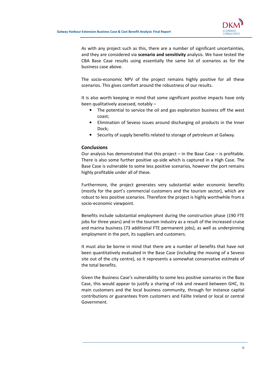

As with any project such as this, there are a number of significant uncertainties, and they are considered via scenario and sensitivity analysis. We have tested the CBA Base Case results using essentially the same list of scenarios as for the business case above.

The socio-economic NPV of the project remains highly positive for all these scenarios. This gives comfort around the robustness of our results.

It is also worth keeping in mind that some significant positive impacts have only been qualitatively assessed, notably –

- The potential to service the oil and gas exploration business off the west coast;
- Elimination of Seveso issues around discharging oil products in the Inner Dock;
- Security of supply benefits related to storage of petroleum at Galway.

#### **Conclusions**

Our analysis has demonstrated that this project – in the Base Case – is profitable. There is also some further positive up-side which is captured in a High Case. The Base Case is vulnerable to some less positive scenarios, however the port remains highly profitable under all of these.

Furthermore, the project generates very substantial wider economic benefits (mostly for the port's commercial customers and the tourism sector), which are robust to less positive scenarios. Therefore the project is highly worthwhile from a socio-economic viewpoint.

Benefits include substantial employment during the construction phase (190 FTE jobs for three years) and in the tourism industry as a result of the increased cruise and marina business (73 additional FTE permanent jobs), as well as underpinning employment in the port, its suppliers and customers.

It must also be borne in mind that there are a number of benefits that have not been quantitatively evaluated in the Base Case (including the moving of a Seveso site out of the city centre), so it represents a somewhat conservative estimate of the total benefits.

Given the Business Case's vulnerability to some less positive scenarios in the Base Case, this would appear to justify a sharing of risk and reward between GHC, its main customers and the local business community, through for instance capital contributions or guarantees from customers and Fáilte Ireland or local or central Government.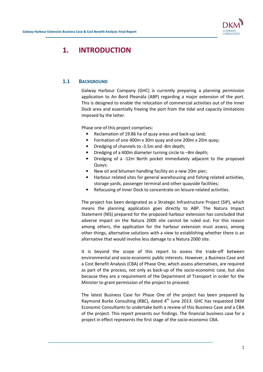

# 1. INTRODUCTION

# 1.1 BACKGROUND

Galway Harbour Company (GHC) is currently preparing a planning permission application to An Bord Pleanála (ABP) regarding a major extension of the port. This is designed to enable the relocation of commercial activities out of the Inner Dock area and essentially freeing the port from the tidal and capacity limitations imposed by the latter.

Phase one of this project comprises:

- Reclamation of 19.86 ha of quay areas and back-up land;
- Formation of one 400m x 30m quay and one 200m x 20m quay;
- Dredging of channels to -3.5m and -8m depth;
- Dredging of a 400m diameter turning circle to –8m depth;
- Dredging of a -12m Berth pocket immediately adjacent to the proposed Quays;
- New oil and bitumen handling facility on a new 20m pier;
- Harbour related sites for general warehousing and fishing related activities, storage yards, passenger terminal and other quayside facilities;
- Refocusing of Inner Dock to concentrate on leisure-related activities.

The project has been designated as a Strategic Infrastructure Project (SIP), which means the planning application goes directly to ABP. The Natura Impact Statement (NIS) prepared for the proposed harbour extension has concluded that adverse impact on the Natura 2000 site cannot be ruled out. For this reason among others, the application for the harbour extension must assess, among other things, alternative solutions with a view to establishing whether there is an alternative that would involve less damage to a Natura 2000 site.

It is beyond the scope of this report to assess the trade-off between environmental and socio-economic public interests. However, a Business Case and a Cost Benefit Analysis (CBA) of Phase One, which assess alternatives, are required as part of the process, not only as back-up of the socio-economic case, but also because they are a requirement of the Department of Transport in order for the Minister to grant permission of the project to proceed.

The latest Business Case for Phase One of the project has been prepared by Raymond Burke Consulting (RBC), dated  $4<sup>th</sup>$  June 2013. GHC has requested DKM Economic Consultants to undertake both a review of this Business Case and a CBA of the project. This report presents our findings. The financial business case for a project in effect represents the first stage of the socio-economic CBA.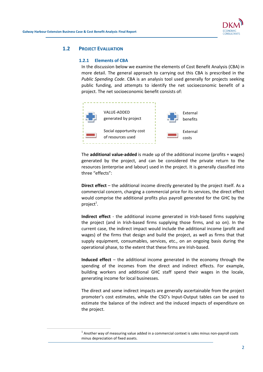$\overline{a}$ 



### 1.2 PROJECT EVALUATION

#### 1.2.1 Elements of CBA

In the discussion below we examine the elements of Cost Benefit Analysis (CBA) in more detail. The general approach to carrying out this CBA is prescribed in the Public Spending Code. CBA is an analysis tool used generally for projects seeking public funding, and attempts to identify the net socioeconomic benefit of a project. The net socioeconomic benefit consists of:



The **additional value-added** is made up of the additional income (profits  $+$  wages) generated by the project, and can be considered the private return to the resources (enterprise and labour) used in the project. It is generally classified into three "effects":

Direct effect – the additional income directly generated by the project itself. As a commercial concern, charging a commercial price for its services, the direct effect would comprise the additional profits plus payroll generated for the GHC by the project $^1$ .

Indirect effect - the additional income generated in Irish-based firms supplying the project (and in Irish-based firms supplying those firms, and so on). In the current case, the indirect impact would include the additional income (profit and wages) of the firms that design and build the project, as well as firms that that supply equipment, consumables, services, etc., on an ongoing basis during the operational phase, to the extent that these firms are Irish-based.

Induced effect – the additional income generated in the economy through the spending of the incomes from the direct and indirect effects. For example, building workers and additional GHC staff spend their wages in the locale, generating income for local businesses.

The direct and some indirect impacts are generally ascertainable from the project promoter's cost estimates, while the CSO's Input-Output tables can be used to estimate the balance of the indirect and the induced impacts of expenditure on the project.

 $<sup>1</sup>$  Another way of measuring value added in a commercial context is sales minus non-payroll costs</sup> minus depreciation of fixed assets.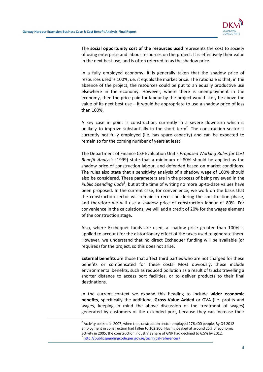$\overline{a}$ 



The social opportunity cost of the resources used represents the cost to society of using enterprise and labour resources on the project. It is effectively their value in the next best use, and is often referred to as the shadow price.

In a fully employed economy, it is generally taken that the shadow price of resources used is 100%, i.e. it equals the market price. The rationale is that, in the absence of the project, the resources could be put to an equally productive use elsewhere in the economy. However, where there is unemployment in the economy, then the price paid for labour by the project would likely be above the value of its next best use  $-$  it would be appropriate to use a shadow price of less than 100%.

A key case in point is construction, currently in a severe downturn which is unlikely to improve substantially in the short term<sup>2</sup>. The construction sector is currently not fully employed (i.e. has spare capacity) and can be expected to remain so for the coming number of years at least.

The Department of Finance CSF Evaluation Unit's Proposed Working Rules for Cost Benefit Analysis (1999) state that a minimum of 80% should be applied as the shadow price of construction labour, and defended based on market conditions. The rules also state that a sensitivity analysis of a shadow wage of 100% should also be considered. These parameters are in the process of being reviewed in the Public Spending Code<sup>3</sup>, but at the time of writing no more up-to-date values have been proposed. In the current case, for convenience, we work on the basis that the construction sector will remain in recession during the construction phase, and therefore we will use a shadow price of construction labour of 80%. For convenience in the calculations, we will add a credit of 20% for the wages element of the construction stage.

Also, where Exchequer funds are used, a shadow price greater than 100% is applied to account for the distortionary effect of the taxes used to generate them. However, we understand that no direct Exchequer funding will be available (or required) for the project, so this does not arise.

External benefits are those that affect third parties who are not charged for these benefits or compensated for these costs. Most obviously, these include environmental benefits, such as reduced pollution as a result of trucks travelling a shorter distance to access port facilities, or to deliver products to their final destinations.

In the current context we expand this heading to include wider economic benefits, specifically the additional Gross Value Added or GVA (i.e. profits and wages, keeping in mind the above discussion of the treatment of wages) generated by customers of the extended port, because they can increase their

 $^2$  Activity peaked in 2007, when the construction sector employed 276,400 people. By Q4 2012 employment in construction had fallen to 102,200. Having peaked at around 25% of economic activity in 2005, the construction industry's share of GNP had declined to 6.5% by 2012. <sup>3</sup> http://publicspendingcode.per.gov.ie/technical-references/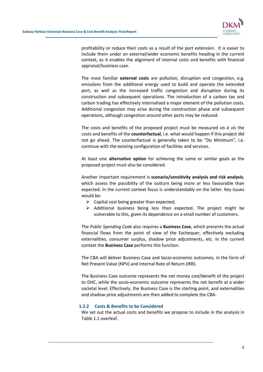

profitability or reduce their costs as a result of the port extension. It is easier to include them under an external/wider economic benefits heading in the current context, as it enables the alignment of internal costs and benefits with financial appraisal/business case.

The most familiar external costs are pollution, disruption and congestion, e.g. emissions from the additional energy used to build and operate the extended port, as well as the increased traffic congestion and disruption during its construction and subsequent operations. The introduction of a carbon tax and carbon trading has effectively internalised a major element of the pollution costs. Additional congestion may arise during the construction phase and subsequent operations, although congestion around other ports may be reduced.

The costs and benefits of the proposed project must be measured vis  $\dot{a}$  vis the costs and benefits of the counterfactual, i.e. what would happen if this project did not go ahead. The counterfactual is generally taken to be "Do Minimum", i.e. continue with the existing configuration of facilities and services.

At least one alternative option for achieving the same or similar goals as the proposed project must also be considered.

Another important requirement is scenario/sensitivity analysis and risk analysis, which assess the possibility of the outturn being more or less favourable than expected. In the current context focus is understandably on the latter. Key issues would be:

- $\triangleright$  Capital cost being greater than expected:
- $\triangleright$  Additional business being less than expected. The project might be vulnerable to this, given its dependence on a small number of customers.

The Public Spending Code also requires a **Business Case**, which presents the actual financial flows from the point of view of the Exchequer, effectively excluding externalities, consumer surplus, shadow price adjustments, etc. In the current context the Business Case performs this function.

The CBA will deliver Business Case and Socio-economic outcomes, in the form of Net Present Value (NPV) and Internal Rate of Return (IRR).

The Business Case outcome represents the net money cost/benefit of the project to GHC, while the socio-economic outcome represents the net benefit at a wider societal level. Effectively, the Business Case is the starting point, and externalities and shadow price adjustments are then added to complete the CBA.

#### 1.2.2 Costs & Benefits to be Considered

We set out the actual costs and benefits we propose to include in the analysis in Table 1.1 overleaf.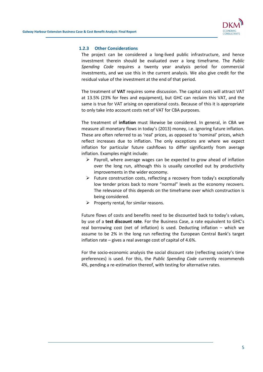

#### 1.2.3 Other Considerations

The project can be considered a long-lived public infrastructure, and hence investment therein should be evaluated over a long timeframe. The Public Spending Code requires a twenty year analysis period for commercial investments, and we use this in the current analysis. We also give credit for the residual value of the investment at the end of that period.

The treatment of VAT requires some discussion. The capital costs will attract VAT at 13.5% (23% for fees and equipment), but GHC can reclaim this VAT, and the same is true for VAT arising on operational costs. Because of this it is appropriate to only take into account costs net of VAT for CBA purposes.

The treatment of inflation must likewise be considered. In general, in CBA we measure all monetary flows in today's (2013) money, i.e. ignoring future inflation. These are often referred to as 'real' prices, as opposed to 'nominal' prices, which reflect increases due to inflation. The only exceptions are where we expect inflation for particular future cashflows to differ significantly from average inflation. Examples might include:

- $\triangleright$  Payroll, where average wages can be expected to grow ahead of inflation over the long run, although this is usually cancelled out by productivity improvements in the wider economy.
- $\triangleright$  Future construction costs, reflecting a recovery from today's exceptionally low tender prices back to more "normal" levels as the economy recovers. The relevance of this depends on the timeframe over which construction is being considered.
- $\triangleright$  Property rental, for similar reasons.

Future flows of costs and benefits need to be discounted back to today's values, by use of a test discount rate. For the Business Case, a rate equivalent to GHC's real borrowing cost (net of inflation) is used. Deducting inflation – which we assume to be 2% in the long run reflecting the European Central Bank's target inflation rate – gives a real average cost of capital of 4.6%.

For the socio-economic analysis the social discount rate (reflecting society's time preferences) is used. For this, the Public Spending Code currently recommends 4%, pending a re-estimation thereof, with testing for alternative rates.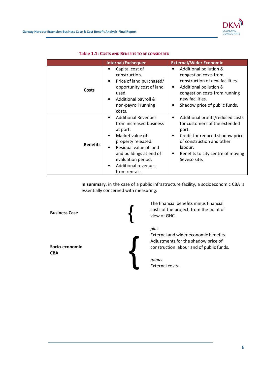

|                 | Internal/Exchequer                                                                                                                                                                                                                                                          | <b>External/Wider Economic</b>                                                                                                                                                                                                            |
|-----------------|-----------------------------------------------------------------------------------------------------------------------------------------------------------------------------------------------------------------------------------------------------------------------------|-------------------------------------------------------------------------------------------------------------------------------------------------------------------------------------------------------------------------------------------|
| Costs           | Capital cost of<br>construction.<br>Price of land purchased/<br>٠<br>opportunity cost of land<br>used.<br>Additional payroll &<br>non-payroll running<br>costs.                                                                                                             | Additional pollution &<br>congestion costs from<br>construction of new facilities.<br>Additional pollution &<br>$\bullet$<br>congestion costs from running<br>new facilities.<br>Shadow price of public funds.<br>$\bullet$               |
| <b>Benefits</b> | <b>Additional Revenues</b><br>$\bullet$<br>from increased business<br>at port.<br>Market value of<br>$\bullet$<br>property released.<br>Residual value of land<br>$\bullet$<br>and buildings at end of<br>evaluation period.<br><b>Additional revenues</b><br>from rentals. | Additional profits/reduced costs<br>$\bullet$<br>for customers of the extended<br>port.<br>Credit for reduced shadow price<br>$\bullet$<br>of construction and other<br>labour.<br>Benefits to city centre of moving<br>٠<br>Seveso site. |

#### Table 1.1: COSTS AND BENEFITS TO BE CONSIDERED

In summary, in the case of a public infrastructure facility, a socioeconomic CBA is essentially concerned with measuring:



The financial benefits minus financial costs of the project, from the point of

External and wider economic benefits. Adjustments for the shadow price of construction labour and of public funds.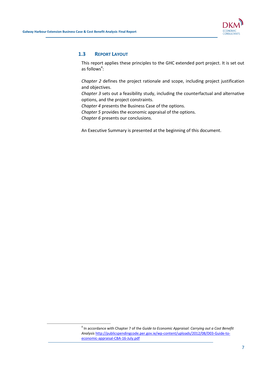$\overline{a}$ 



### 1.3 REPORT LAYOUT

This report applies these principles to the GHC extended port project. It is set out as follows<sup>4</sup>:

Chapter 2 defines the project rationale and scope, including project justification and objectives.

Chapter 3 sets out a feasibility study, including the counterfactual and alternative options, and the project constraints.

Chapter 4 presents the Business Case of the options.

Chapter 5 provides the economic appraisal of the options.

Chapter 6 presents our conclusions.

An Executive Summary is presented at the beginning of this document.

 $<sup>4</sup>$  In accordance with Chapter 7 of the Guide to Economic Appraisal: Carrying out a Cost Benefit</sup> Analysis http://publicspendingcode.per.gov.ie/wp-content/uploads/2012/08/D03-Guide-toeconomic-appraisal-CBA-16-July.pdf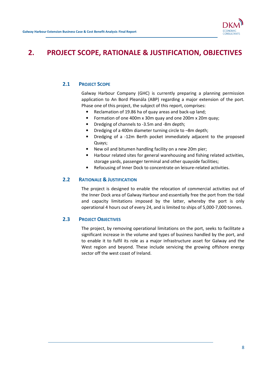

# 2. PROJECT SCOPE, RATIONALE & JUSTIFICATION, OBJECTIVES

# 2.1 PROJECT SCOPE

Galway Harbour Company (GHC) is currently preparing a planning permission application to An Bord Pleanála (ABP) regarding a major extension of the port. Phase one of this project, the subject of this report, comprises:

- Reclamation of 19.86 ha of quay areas and back-up land;
- Formation of one 400m x 30m quay and one 200m x 20m quay;
- Dredging of channels to -3.5m and -8m depth;
- Dredging of a 400m diameter turning circle to –8m depth;
- Dredging of a -12m Berth pocket immediately adjacent to the proposed Quays;
- New oil and bitumen handling facility on a new 20m pier;
- Harbour related sites for general warehousing and fishing related activities, storage yards, passenger terminal and other quayside facilities;
- Refocusing of Inner Dock to concentrate on leisure-related activities.

# 2.2 RATIONALE & JUSTIFICATION

The project is designed to enable the relocation of commercial activities out of the Inner Dock area of Galway Harbour and essentially free the port from the tidal and capacity limitations imposed by the latter, whereby the port is only operational 4 hours out of every 24, and is limited to ships of 5,000-7,000 tonnes.

# 2.3 PROJECT OBJECTIVES

The project, by removing operational limitations on the port, seeks to facilitate a significant increase in the volume and types of business handled by the port, and to enable it to fulfil its role as a major infrastructure asset for Galway and the West region and beyond. These include servicing the growing offshore energy sector off the west coast of Ireland.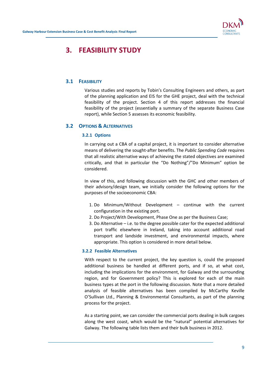

# 3. FEASIBILITY STUDY

# 3.1 FEASIBILITY

Various studies and reports by Tobin's Consulting Engineers and others, as part of the planning application and EIS for the GHE project, deal with the technical feasibility of the project. Section 4 of this report addresses the financial feasibility of the project (essentially a summary of the separate Business Case report), while Section 5 assesses its economic feasibility.

### 3.2 OPTIONS & ALTERNATIVES

#### 3.2.1 Options

In carrying out a CBA of a capital project, it is important to consider alternative means of delivering the sought-after benefits. The Public Spending Code requires that all realistic alternative ways of achieving the stated objectives are examined critically, and that in particular the "Do Nothing"/"Do Minimum" option be considered.

In view of this, and following discussion with the GHC and other members of their advisory/design team, we initially consider the following options for the purposes of the socioeconomic CBA:

- 1. Do Minimum/Without Development continue with the current configuration in the existing port.
- 2. Do Project/With Development, Phase One as per the Business Case;
- 3. Do Alternative i.e. to the degree possible cater for the expected additional port traffic elsewhere in Ireland, taking into account additional road transport and landside investment, and environmental impacts, where appropriate. This option is considered in more detail below.

#### 3.2.2 Feasible Alternatives

With respect to the current project, the key question is, could the proposed additional business be handled at different ports, and if so, at what cost, including the implications for the environment, for Galway and the surrounding region, and for Government policy? This is explored for each of the main business types at the port in the following discussion. Note that a more detailed analysis of feasible alternatives has been compiled by McCarthy Keville O'Sullivan Ltd., Planning & Environmental Consultants, as part of the planning process for the project.

As a starting point, we can consider the commercial ports dealing in bulk cargoes along the west coast, which would be the "natural" potential alternatives for Galway. The following table lists them and their bulk business in 2012.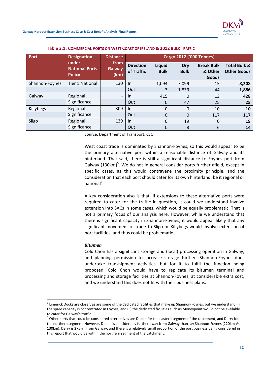

Table 3.1: COMMERCIAL PORTS ON WEST COAST OF IRELAND & 2012 BULK TRAFFIC

| Port           | <b>Designation</b>                              | <b>Distance</b>               | <b>Cargo 2012 ('000 Tonnes)</b> |                       |                    |                                       |                                               |
|----------------|-------------------------------------------------|-------------------------------|---------------------------------|-----------------------|--------------------|---------------------------------------|-----------------------------------------------|
|                | under<br><b>National Ports</b><br><b>Policy</b> | from<br><b>Galway</b><br>(km) | <b>Direction</b><br>of Traffic  | Liquid<br><b>Bulk</b> | Dry<br><b>Bulk</b> | <b>Break Bulk</b><br>& Other<br>Goods | <b>Total Bulk &amp;</b><br><b>Other Goods</b> |
| Shannon-Foynes | <b>Tier 1 National</b>                          | 130                           | $\ln$                           | 1,094                 | 7,099              | 15                                    | 8,208                                         |
|                |                                                 |                               | Out                             | 3                     | 1,839              | 44                                    | 1,886                                         |
| Galway         | Regional                                        | $\overline{\phantom{a}}$      | <b>In</b>                       | 415                   | 0                  | 13                                    | 428                                           |
|                | Significance                                    |                               | Out                             | $\mathbf 0$           | 47                 | 25                                    | 25                                            |
| Killybegs      | Regional                                        | 309                           | In                              | $\Omega$              | $\Omega$           | 10                                    | 10                                            |
|                | Significance                                    |                               | Out                             | $\mathbf 0$           | $\Omega$           | 117                                   | 117                                           |
| Sligo          | Regional                                        | 139                           | $\ln$                           | $\Omega$              | 19                 | $\Omega$                              | 19                                            |
|                | Significance                                    |                               | Out                             | 0                     | 8                  | 6                                     | 14                                            |

Source: Department of Transport, CSO

West coast trade is dominated by Shannon-Foynes, so this would appear to be the primary alternative port within a reasonable distance of Galway and its hinterland. That said, there is still a significant distance to Foynes port from Galway (130km)<sup>5</sup>. We do not in general consider ports further afield, except in specific cases, as this would contravene the proximity principle, and the consideration that each port should cater for its own hinterland, be it regional or national<sup>6</sup>.

A key consideration also is that, if extensions to these alternative ports were required to cater for the traffic in question, it could we understand involve extension into SACs in some cases, which would be equally problematic. That is not a primary focus of our analysis here. However, while we understand that there is significant capacity in Shannon-Foynes, it would appear likely that any significant movement of trade to Sligo or Killybegs would involve extension of port facilities, and thus could be problematic.

#### Bitumen

 $\overline{a}$ 

Cold Chon has a significant storage and (local) processing operation in Galway, and planning permission to increase storage further. Shannon-Foynes does undertake transhipment activities, but for it to fulfil the function being proposed, Cold Chon would have to replicate its bitumen terminal and processing and storage facilities at Shannon-Foynes, at considerable extra cost, and we understand this does not fit with their business plans.

<sup>&</sup>lt;sup>5</sup> Limerick Docks are closer, as are some of the dedicated facilities that make up Shannon-Foynes, but we understand (i) the spare capacity is concentrated in Foynes, and (ii) the dedicated facilities such as Moneypoint would not be available to cater for Galway's traffic.

 $^6$  Other ports that could be considered alternatives are Dublin for the eastern segment of the catchment, and Derry for the northern segment. However, Dublin is considerably further away from Galway than say Shannon-Foynes (220km Vs. 130km). Derry is 275km from Galway, and there is a relatively small proportion of the port business being considered in this report that would be within the northern segment of the catchment.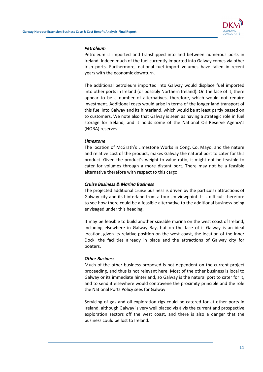

#### Petroleum

Petroleum is imported and transhipped into and between numerous ports in Ireland. Indeed much of the fuel currently imported into Galway comes via other Irish ports. Furthermore, national fuel import volumes have fallen in recent years with the economic downturn.

The additional petroleum imported into Galway would displace fuel imported into other ports in Ireland (or possibly Northern Ireland). On the face of it, there appear to be a number of alternatives, therefore, which would not require investment. Additional costs would arise in terms of the longer land transport of this fuel into Galway and its hinterland, which would be at least partly passed on to customers. We note also that Galway is seen as having a strategic role in fuel storage for Ireland, and it holds some of the National Oil Reserve Agency's (NORA) reserves.

#### Limestone

The location of McGrath's Limestone Works in Cong, Co. Mayo, and the nature and relative cost of the product, makes Galway the natural port to cater for this product. Given the product's weight-to-value ratio, it might not be feasible to cater for volumes through a more distant port. There may not be a feasible alternative therefore with respect to this cargo.

#### Cruise Business & Marina Business

The projected additional cruise business is driven by the particular attractions of Galway city and its hinterland from a tourism viewpoint. It is difficult therefore to see how there could be a feasible alternative to the additional business being envisaged under this heading.

It may be feasible to build another sizeable marina on the west coast of Ireland, including elsewhere in Galway Bay, but on the face of it Galway is an ideal location, given its relative position on the west coast, the location of the Inner Dock, the facilities already in place and the attractions of Galway city for boaters.

#### Other Business

Much of the other business proposed is not dependent on the current project proceeding, and thus is not relevant here. Most of the other business is local to Galway or its immediate hinterland, so Galway is the natural port to cater for it, and to send it elsewhere would contravene the proximity principle and the role the National Ports Policy sees for Galway.

Servicing of gas and oil exploration rigs could be catered for at other ports in Ireland, although Galway is very well placed vis à vis the current and prospective exploration sectors off the west coast, and there is also a danger that the business could be lost to Ireland.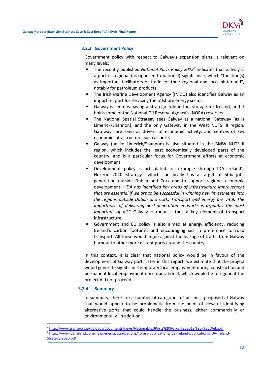

#### 3.2.3 Government Policy

Government policy with respect to Galway's expansion plans, is relevant on many levels:

- The recently published National Ports Policy 2013<sup>7</sup> indicates that Galway is a port of regional (as opposed to national) significance, which "function(s) as important facilitators of trade for their regional and local hinterland", notably for petroleum products.
- The Irish Marine Development Agency (IMDO) also identifies Galway as an important port for servicing the offshore energy sector.
- Galway is seen as having a strategic role in fuel storage for Ireland, and it holds some of the National Oil Reserve Agency's (NORA) reserves.
- The National Spatial Strategy sees Galway as a national Gateway (as is Limerick/Shannon), and the only Gateway in the West NUTS III region. Gateways are seen as drivers of economic activity, and centres of key economic infrastructure, such as ports.
- Galway (unlike Limerick/Shannon) is also situated in the BMW NUTS II region, which includes the least economically developed parts of the country, and is a particular focus for Government efforts at economic development.
- Development policy is articulated for example through IDA Ireland's Horizon 2020 Strategy<sup>8</sup>, which specifically has a target of 50% jobs generation outside Dublin and Cork and to support regional economic development: "IDA has identified key areas of infrastructure improvement that are essential if we are to be successful in winning new investments into the regions outside Dublin and Cork. Transport and energy are vital. The importance of delivering next-generation networks is arguably the most important of all." Galway Harbour is thus a key element of transport infrastructure.
- Government and EU policy is also aimed at energy efficiency, reducing Ireland's carbon footprint and encouraging sea in preference to road transport. All these would argue against the leakage of traffic from Galway harbour to other more distant ports around the country.

In this context, it is clear that national policy would be in favour of the development of Galway port. Later in this report, we estimate that the project would generate significant temporary local employment during construction and permanent local employment once operational, which would be foregone if the project did not proceed.

#### 3.2.4 Summary

 $\overline{a}$ 

In summary, there are a number of categories of business proposed at Galway that would appear to be problematic from the point of view of identifying alternative ports that could handle the business, either commercially or environmentally. In addition:

- 7 http://www.transport.ie/uploads/documents/news/National%20Ports%20Policy%202013%20-%20Web.pdf
- 8 http://www.idaireland.com/news-media/publications/library-publications/ida-ireland-publications/IDA-Ireland-Strategy-2020.pdf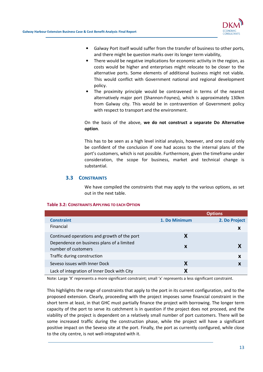

- Galway Port itself would suffer from the transfer of business to other ports, and there might be question marks over its longer term viability,
- There would be negative implications for economic activity in the region, as costs would be higher and enterprises might relocate to be closer to the alternative ports. Some elements of additional business might not viable. This would conflict with Government national and regional development policy.
- The proximity principle would be contravened in terms of the nearest alternatively major port (Shannon-Foynes), which is approximately 130km from Galway city. This would be in contravention of Government policy with respect to transport and the environment.

On the basis of the above, we do not construct a separate Do Alternative option.

This has to be seen as a high level initial analysis, however, and one could only be confident of the conclusion if one had access to the internal plans of the port's customers, which is not possible. Furthermore, given the timeframe under consideration, the scope for business, market and technical change is substantial.

# 3.3 CONSTRAINTS

We have compiled the constraints that may apply to the various options, as set out in the next table.

|                                                                  | <b>Options</b> |               |  |
|------------------------------------------------------------------|----------------|---------------|--|
| <b>Constraint</b>                                                | 1. Do Minimum  | 2. Do Project |  |
| Financial                                                        |                | X             |  |
| Continued operations and growth of the port                      |                |               |  |
| Dependence on business plans of a limited<br>number of customers | X              |               |  |
| Traffic during construction                                      |                | X             |  |
| Seveso issues with Inner Dock                                    |                |               |  |
| Lack of integration of Inner Dock with City                      |                |               |  |

#### Table 3.2: CONSTRAINTS APPLYING TO EACH OPTION

Note: Large 'X' represents a more significant constraint; small 'x' represents a less significant constraint.

This highlights the range of constraints that apply to the port in its current configuration, and to the proposed extension. Clearly, proceeding with the project imposes some financial constraint in the short term at least, in that GHC must partially finance the project with borrowing. The longer term capacity of the port to serve its catchment is in question if the project does not proceed, and the viability of the project is dependent on a relatively small number of port customers. There will be some increased traffic during the construction phase, while the project will have a significant positive impact on the Seveso site at the port. Finally, the port as currently configured, while close to the city centre, is not well-integrated with it.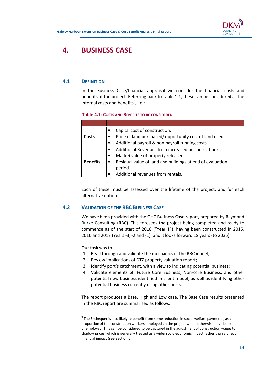

# 4. BUSINESS CASE

# 4.1 DEFINITION

In the Business Case/financial appraisal we consider the financial costs and benefits of the project. Referring back to Table 1.1, these can be considered as the internal costs and benefits $9$ , i.e.:

#### Table 4.1: COSTS AND BENEFITS TO BE CONSIDERED

|                 | Capital cost of construction.                             |
|-----------------|-----------------------------------------------------------|
| Costs           | Price of land purchased/opportunity cost of land used.    |
|                 | Additional payroll & non-payroll running costs.           |
|                 | Additional Revenues from increased business at port.      |
|                 | Market value of property released.                        |
| <b>Benefits</b> | Residual value of land and buildings at end of evaluation |
|                 | period.                                                   |
|                 | Additional revenues from rentals.                         |

Each of these must be assessed over the lifetime of the project, and for each alternative option.

# 4.2 VALIDATION OF THE RBC BUSINESS CASE

We have been provided with the GHC Business Case report, prepared by Raymond Burke Consulting (RBC). This foresees the project being completed and ready to commence as of the start of 2018 ("Year 1"), having been constructed in 2015, 2016 and 2017 (Years -3, -2 and -1), and it looks forward 18 years (to 2035).

Our task was to:

 $\overline{a}$ 

- 1. Read through and validate the mechanics of the RBC model;
- 2. Review implications of DTZ property valuation report;
- 3. Identify port's catchment, with a view to indicating potential business;
- 4. Validate elements of: Future Core Business, Non-core Business, and other potential new business identified in client model, as well as identifying other potential business currently using other ports.

The report produces a Base, High and Low case. The Base Case results presented in the RBC report are summarised as follows:

 $9$  The Exchequer is also likely to benefit from some reduction in social welfare payments, as a proportion of the construction workers employed on the project would otherwise have been unemployed. This can be considered to be captured in the adjustment of construction wages to shadow prices, which is generally treated as a wider socio-economic impact rather than a direct financial impact (see Section 5).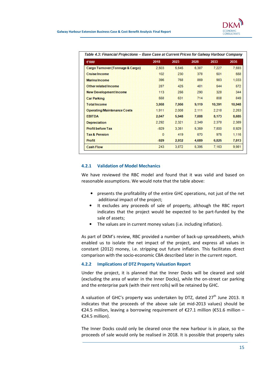| €'000                              | 2018   | 2023  | 2028  | 2033   | 2035   |
|------------------------------------|--------|-------|-------|--------|--------|
| Cargo Turnover (Tonnage & Cargo)   | 2.503  | 5.645 | 6.387 | 7.227  | 7,593  |
| <b>Cruise Income</b>               | 102    | 230   | 378   | 501    | 558    |
| <b>Marina Income</b>               | 396    | 768   | 869   | 983    | 1,033  |
| Other related Income               | 287    | 425   | 481   | 544    | 572    |
| <b>New Development Income</b>      | 113    | 256   | 290   | 328    | 344    |
| <b>Car Parking</b>                 | 558    | 631   | 714   | 808    | 849    |
| <b>Total Income</b>                | 3,958  | 7,956 | 9,119 | 10,391 | 10,948 |
| <b>Operating/Maintenance Costs</b> | 1.911  | 2,008 | 2.111 | 2.218  | 2.263  |
| <b>EBITDA</b>                      | 2.047  | 5,948 | 7,008 | 8.173  | 8,685  |
| <b>Depreciation</b>                | 2.292  | 2.321 | 2,349 | 2,378  | 2,389  |
| <b>Profit before Tax</b>           | $-929$ | 3.351 | 5.359 | 7.800  | 8.929  |
| <b>Tax &amp; Pension</b>           | o      | 419   | 670   | 975    | 1.116  |
| Profit                             | $-929$ | 2,932 | 4.689 | 6,825  | 7,813  |
| <b>Cash Flow</b>                   | 243.   | 3,872 | 5,395 | 7.163  | 9,981  |

### 4.2.1 Validation of Model Mechanics

We have reviewed the RBC model and found that it was valid and based on reasonable assumptions. We would note that the table above:

- presents the profitability of the entire GHC operations, not just of the net additional impact of the project;
- It excludes any proceeds of sale of property, although the RBC report indicates that the project would be expected to be part-funded by the sale of assets;
- The values are in current money values (i.e. including inflation).

As part of DKM's review, RBC provided a number of back-up spreadsheets, which enabled us to isolate the net impact of the project, and express all values in constant (2012) money, i.e. stripping out future inflation. This facilitates direct comparison with the socio-economic CBA described later in the current report.

# 4.2.2 Implications of DTZ Property Valuation Report

Under the project, it is planned that the Inner Docks will be cleared and sold (excluding the area of water in the Inner Docks), while the on-street car parking and the enterprise park (with their rent rolls) will be retained by GHC.

A valuation of GHC's property was undertaken by DTZ, dated  $27<sup>th</sup>$  June 2013. It indicates that the proceeds of the above sale (at mid-2013 values) should be €24.5 million, leaving a borrowing requirement of €27.1 million (€51.6 million – €24.5 million).

The Inner Docks could only be cleared once the new harbour is in place, so the proceeds of sale would only be realised in 2018. It is possible that property sales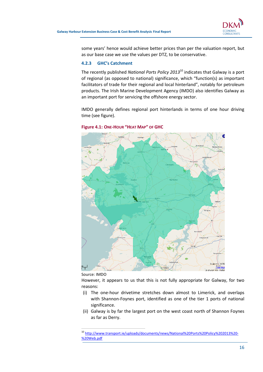

some years' hence would achieve better prices than per the valuation report, but as our base case we use the values per DTZ, to be conservative.

#### 4.2.3 GHC's Catchment

The recently published National Ports Policy  $2013^{10}$  indicates that Galway is a port of regional (as opposed to national) significance, which "function(s) as important facilitators of trade for their regional and local hinterland", notably for petroleum products. The Irish Marine Development Agency (IMDO) also identifies Galway as an important port for servicing the offshore energy sector.

IMDO generally defines regional port hinterlands in terms of one hour driving time (see figure).



#### Figure 4.1: ONE-HOUR "HEAT MAP" OF GHC

Source: IMDO

 $\overline{a}$ 

However, it appears to us that this is not fully appropriate for Galway, for two reasons:

- (i) The one-hour drivetime stretches down almost to Limerick, and overlaps with Shannon-Foynes port, identified as one of the tier 1 ports of national significance.
- (ii) Galway is by far the largest port on the west coast north of Shannon Foynes as far as Derry.

<sup>10</sup> http://www.transport.ie/uploads/documents/news/National%20Ports%20Policy%202013%20- %20Web.pdf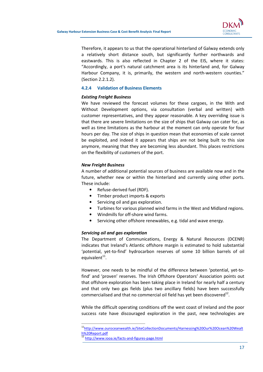

Therefore, it appears to us that the operational hinterland of Galway extends only a relatively short distance south, but significantly further northwards and eastwards. This is also reflected in Chapter 2 of the EIS, where it states: "Accordingly, a port's natural catchment area is its hinterland and, for Galway Harbour Company, it is, primarily, the western and north-western counties." (Section 2.2.1.2).

#### 4.2.4 Validation of Business Elements

#### Existing Freight Business

We have reviewed the forecast volumes for these cargoes, in the With and Without Development options, via consultation (verbal and written) with customer representatives, and they appear reasonable. A key overriding issue is that there are severe limitations on the size of ships that Galway can cater for, as well as time limitations as the harbour at the moment can only operate for four hours per day. The size of ships in question mean that economies of scale cannot be exploited, and indeed it appears that ships are not being built to this size anymore, meaning that they are becoming less abundant. This places restrictions on the flexibility of customers of the port.

#### New Freight Business

A number of additional potential sources of business are available now and in the future, whether new or within the hinterland and currently using other ports. These include:

- Refuse-derived fuel (RDF).
- Timber product imports & exports
- Servicing oil and gas exploration.
- Turbines for various planned wind farms in the West and Midland regions.
- Windmills for off-shore wind farms.
- Servicing other offshore renewables, e.g. tidal and wave energy.

#### Servicing oil and gas exploration

The Department of Communications, Energy & Natural Resources (DCENR) indicates that Ireland's Atlantic offshore margin is estimated to hold substantial 'potential, yet-to-find' hydrocarbon reserves of some 10 billion barrels of oil equivalent<sup>11</sup>.

However, one needs to be mindful of the difference between 'potential, yet-tofind' and 'proven' reserves. The Irish Offshore Operators' Association points out that offshore exploration has been taking place in Ireland for nearly half a century and that only two gas fields (plus two ancillary fields) have been successfully commercialised and that no commercial oil field has yet been discovered $^{12}$ .

While the difficult operating conditions off the west coast of Ireland and the poor success rate have discouraged exploration in the past, new technologies are

 $\overline{a}$ 

<sup>&</sup>lt;sup>11</sup>http://www.ouroceanwealth.ie/SiteCollectionDocuments/Harnessing%20Our%20Ocean%20Wealt h%20Report.pdf

http://www.iooa.ie/facts-and-figures-page.html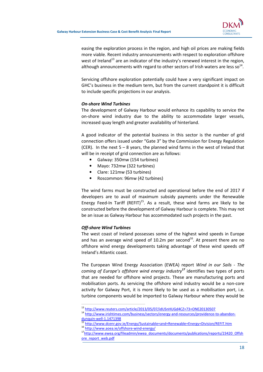

easing the exploration process in the region, and high oil prices are making fields more viable. Recent industry announcements with respect to exploration offshore west of Ireland<sup>13</sup> are an indicator of the industry's renewed interest in the region, although announcements with regard to other sectors of Irish waters are less so<sup>14</sup>.

Servicing offshore exploration potentially could have a very significant impact on GHC's business in the medium term, but from the current standpoint it is difficult to include specific projections in our analysis.

#### On-shore Wind Turbines

The development of Galway Harbour would enhance its capability to service the on-shore wind industry due to the ability to accommodate larger vessels, increased quay length and greater availability of hinterland.

A good indicator of the potential business in this sector is the number of grid connection offers issued under "Gate 3" by the Commission for Energy Regulation (CER). In the next  $5 - 8$  years, the planned wind farms in the west of Ireland that will be in receipt of grid connection are as follows:

- Galway: 350mw (154 turbines)
- Mayo: 732mw (322 turbines)
- Clare: 121mw (53 turbines)
- Roscommon: 96mw (42 turbines)

The wind farms must be constructed and operational before the end of 2017 if developers are to avail of maximum subsidy payments under the Renewable Energy Feed-In Tariff (REFIT)<sup>15</sup>. As a result, these wind farms are likely to be constructed before the development of Galway Harbour is complete. This may not be an issue as Galway Harbour has accommodated such projects in the past.

#### Off-shore Wind Turbines

 $\overline{a}$ 

The west coast of Ireland possesses some of the highest wind speeds in Europe and has an average wind speed of 10.2m per second<sup>16</sup>. At present there are no offshore wind energy developments taking advantage of these wind speeds off Ireland's Atlantic coast.

The European Wind Energy Association (EWEA) report Wind in our Sails - The coming of Europe's offshore wind energy industry<sup>17</sup> identifies two types of ports that are needed for offshore wind projects. These are manufacturing ports and mobilisation ports. As servicing the offshore wind industry would be a non-core activity for Galway Port, it is more likely to be used as a mobilisation port, i.e. turbine components would be imported to Galway Harbour where they would be

<sup>13</sup> http://www.reuters.com/article/2013/05/07/idUSnHUGd4CZ+73+ONE20130507

<sup>14</sup> http://www.irishtimes.com/business/sectors/energy-and-resources/providence-to-abandondunquin-well-1.1471398

<sup>15</sup> http://www.dcenr.gov.ie/Energy/Sustainable+and+Renewable+Energy+Division/REFIT.htm

<sup>16</sup> http://www.aoea.ie/offshore-wind-energy/

<sup>17</sup>http://www.ewea.org/fileadmin/ewea\_documents/documents/publications/reports/23420\_Offsh ore\_report\_web.pdf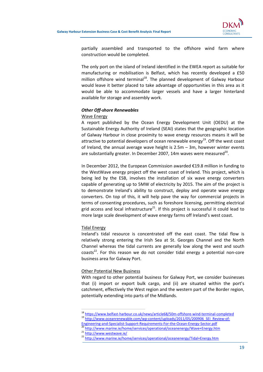

partially assembled and transported to the offshore wind farm where construction would be completed.

The only port on the island of Ireland identified in the EWEA report as suitable for manufacturing or mobilisation is Belfast, which has recently developed a £50 million offshore wind terminal<sup>18</sup>. The planned development of Galway Harbour would leave it better placed to take advantage of opportunities in this area as it would be able to accommodate larger vessels and have a larger hinterland available for storage and assembly work.

#### Other Off-shore Renewables

#### Wave Energy

A report published by the Ocean Energy Development Unit (OEDU) at the Sustainable Energy Authority of Ireland (SEAI) states that the geographic location of Galway Harbour in close proximity to wave energy resources means it will be attractive to potential developers of ocean renewable energy<sup>19</sup>. Off the west coast of Ireland, the annual average wave height is 2.5m – 3m, however winter events are substantially greater. In December 2007, 14m waves were measured<sup>20</sup>.

In December 2012, the European Commission awarded €19.8 million in funding to the WestWave energy project off the west coast of Ireland. This project, which is being led by the ESB, involves the installation of six wave energy converters capable of generating up to 5MW of electricity by 2015. The aim of the project is to demonstrate Ireland's ability to construct, deploy and operate wave energy converters. On top of this, it will help pave the way for commercial projects in terms of consenting procedures, such as foreshore licensing, permitting electrical grid access and local infrastructure<sup>21</sup>. If this project is successful it could lead to more large scale development of wave energy farms off Ireland's west coast.

#### Tidal Energy

Ireland's tidal resource is concentrated off the east coast. The tidal flow is relatively strong entering the Irish Sea at St. Georges Channel and the North Channel whereas the tidal currents are generally low along the west and south  $\text{coasts}^{22}$ . For this reason we do not consider tidal energy a potential non-core business area for Galway Port.

#### Other Potential New Business

With regard to other potential business for Galway Port, we consider businesses that (i) import or export bulk cargo, and (ii) are situated within the port's catchment, effectively the West region and the western part of the Border region, potentially extending into parts of the Midlands.

 $\overline{a}$ 

<sup>18</sup> https://www.belfast-harbour.co.uk/news/article68/50m-offshore-wind-terminal-completed <sup>19</sup> http://www.oceanrenewable.com/wp-content/uploads/2011/05/200906\_SEI\_Review-of-

Engineering-and-Specialist-Support-Requirements-For-the-Ocean-Energy-Sector.pdf

<sup>20</sup> http://www.marine.ie/home/services/operational/oceanenergy/Wave+Energy.htm 21 http://www.westwave.ie/

<sup>&</sup>lt;sup>22</sup> http://www.marine.ie/home/services/operational/oceanenergy/Tidal+Energy.htm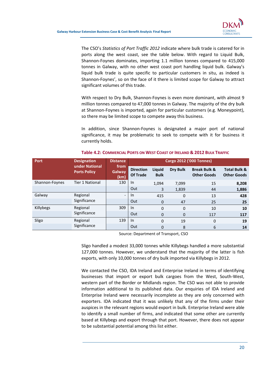

The CSO's Statistics of Port Traffic 2012 indicate where bulk trade is catered for in ports along the west coast, see the table below. With regard to Liquid Bulk, Shannon-Foynes dominates, importing 1.1 million tonnes compared to 415,000 tonnes in Galway, with no other west coast port handling liquid bulk. Galway's liquid bulk trade is quite specific to particular customers in situ, as indeed is Shannon-Foynes', so on the face of it there is limited scope for Galway to attract significant volumes of this trade.

With respect to Dry Bulk, Shannon-Foynes is even more dominant, with almost 9 million tonnes compared to 47,000 tonnes in Galway. The majority of the dry bulk at Shannon-Foynes is imported, again for particular customers (e.g. Moneypoint), so there may be limited scope to compete away this business.

In addition, since Shannon-Foynes is designated a major port of national significance, it may be problematic to seek to compete with it for business it currently holds.

| Port           | <b>Designation</b>                    | <b>Cargo 2012 ('000 Tonnes)</b><br><b>Distance</b> |                                     |                       |              |                                               |                                               |
|----------------|---------------------------------------|----------------------------------------------------|-------------------------------------|-----------------------|--------------|-----------------------------------------------|-----------------------------------------------|
|                | under National<br><b>Ports Policy</b> | from<br>Galway<br>(km)                             | <b>Direction</b><br><b>Of Trade</b> | Liquid<br><b>Bulk</b> | Dry Bulk     | <b>Break Bulk &amp;</b><br><b>Other Goods</b> | <b>Total Bulk &amp;</b><br><b>Other Goods</b> |
| Shannon-Foynes | <b>Tier 1 National</b>                | 130                                                | In                                  | 1,094                 | 7,099        | 15                                            | 8,208                                         |
|                |                                       |                                                    | Out                                 | 3                     | 1,839        | 44                                            | 1,886                                         |
| Galway         | Regional<br>Significance              | $\overline{\phantom{a}}$                           | In                                  | 415                   | $\Omega$     | 13                                            | 428                                           |
|                |                                       |                                                    | Out                                 | $\mathbf{0}$          | 47           | 25                                            | 25                                            |
| Killybegs      | Regional                              | 309                                                | $\ln$                               | $\Omega$              | $\mathbf{0}$ | 10                                            | 10                                            |
|                | Significance                          |                                                    | Out                                 | $\overline{0}$        | 0            | 117                                           | 117                                           |
| Sligo          | Regional                              | 139                                                | $\ln$                               | $\Omega$              | 19           | $\Omega$                                      | 19                                            |
|                | Significance                          |                                                    | Out                                 | $\Omega$              | 8            | 6                                             | 14                                            |

### Table 4.2: COMMERCIAL PORTS ON WEST COAST OF IRELAND & 2012 BULK TRAFFIC

Source: Department of Transport, CSO

Sligo handled a modest 33,000 tonnes while Killybegs handled a more substantial 127,000 tonnes. However, we understand that the majority of the latter is fish exports, with only 10,000 tonnes of dry bulk imported via Killybegs in 2012.

We contacted the CSO, IDA Ireland and Enterprise Ireland in terms of identifying businesses that import or export bulk cargoes from the West, South-West, western part of the Border or Midlands region. The CSO was not able to provide information additional to its published data. Our enquiries of IDA Ireland and Enterprise Ireland were necessarily incomplete as they are only concerned with exporters. IDA indicated that it was unlikely that any of the firms under their auspices in the relevant regions would export in bulk. Enterprise Ireland were able to identify a small number of firms, and indicated that some other are currently based at Killybegs and export through that port. However, there does not appear to be substantial potential among this list either.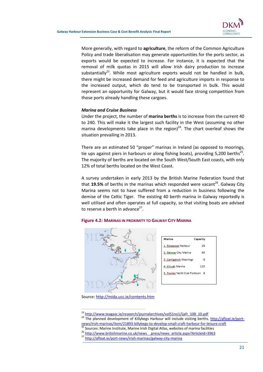

More generally, with regard to **agriculture**, the reform of the Common Agriculture Policy and trade liberalisation may generate opportunities for the ports sector, as exports would be expected to increase. For instance, it is expected that the removal of milk quotas in 2015 will allow Irish dairy production to increase substantially<sup>23</sup>. While most agriculture exports would not be handled in bulk, there might be increased demand for feed and agriculture imports in response to the increased output, which do tend to be transported in bulk. This would represent an opportunity for Galway, but it would face strong competition from those ports already handling these cargoes.

#### Marina and Cruise Business

Under the project, the number of marina berths is to increase from the current 40 to 240. This will make it the largest such facility in the West (assuming no other marina developments take place in the region)<sup>24</sup>. The chart overleaf shows the situation prevailing in 2013.

There are an estimated 50 "proper" marinas in Ireland (as opposed to moorings, tie ups against piers in harbours or along fishing boats), providing 5,200 berths<sup>25</sup>. The majority of berths are located on the South West/South East coasts, with only 12% of total berths located on the West Coast.

A survey undertaken in early 2013 by the British Marine Federation found that that 19.5% of berths in the marinas which responded were vacant<sup>26</sup>. Galway City Marina seems not to have suffered from a reduction in business following the demise of the Celtic Tiger. The existing 40 berth marina in Galway reportedly is well utilised and often operates at full capacity, so that visiting boats are advised to reserve a berth in advance<sup>27</sup>.

#### Figure 4.2: MARINAS IN PROXIMITY TO GALWAY CITY MARINA





Source: http://mida.ucc.ie/contents.htm

 $\overline{a}$ 

<sup>&</sup>lt;sup>23</sup> http://www.teagasc.ie/research/journalarchives/vol51no1/ijafr\_108\_10.pdf

<sup>&</sup>lt;sup>24</sup> The planned development of Killybegs Harbour will include visiting berths. http://afloat.ie/portnews/irish-marinas/item/21893-killybegs-to-develop-small-craft-harbour-for-leisure-craft

<sup>25</sup> Sources: Marine Institute, Marine Irish Digital Atlas, websites of marina facilities

<sup>&</sup>lt;sup>26</sup> http://www.britishmarine.co.uk/news\_press/news\_article.aspx?ArticleId=3963

<sup>27</sup> http://afloat.ie/port-news/irish-marinas/galway-city-marina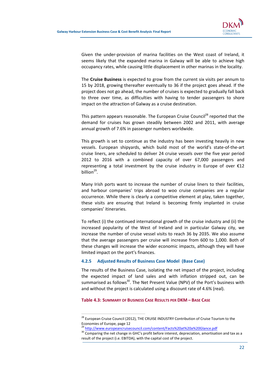

Given the under-provision of marina facilities on the West coast of Ireland, it seems likely that the expanded marina in Galway will be able to achieve high occupancy rates, while causing little displacement in other marinas in the locality.

The Cruise Business is expected to grow from the current six visits per annum to 15 by 2018, growing thereafter eventually to 36 if the project goes ahead. If the project does not go ahead, the number of cruises is expected to gradually fall back to three over time, as difficulties with having to tender passengers to shore impact on the attraction of Galway as a cruise destination.

This pattern appears reasonable. The European Cruise Council<sup>28</sup> reported that the demand for cruises has grown steadily between 2002 and 2011, with average annual growth of 7.6% in passenger numbers worldwide.

This growth is set to continue as the industry has been investing heavily in new vessels. European shipyards, which build most of the world's state-of-the-art cruise liners, are scheduled to deliver 24 cruise vessels over the five year period 2012 to 2016 with a combined capacity of over 67,000 passengers and representing a total investment by the cruise industry in Europe of over €12 billion<sup>29</sup>.

Many Irish ports want to increase the number of cruise liners to their facilities, and harbour companies' trips abroad to woo cruise companies are a regular occurrence. While there is clearly a competitive element at play, taken together, these visits are ensuring that Ireland is becoming firmly implanted in cruise companies' itineraries.

To reflect (i) the continued international growth of the cruise industry and (ii) the increased popularity of the West of Ireland and in particular Galway city, we increase the number of cruise vessel visits to reach 36 by 2035. We also assume that the average passengers per cruise will increase from 600 to 1,000. Both of these changes will increase the wider economic impacts, although they will have limited impact on the port's finances.

#### 4.2.5 Adjusted Results of Business Case Model (Base Case)

The results of the Business Case, isolating the net impact of the project, including the expected impact of land sales and with inflation stripped out, can be summarised as follows<sup>30</sup>. The Net Present Value (NPV) of the Port's business with and without the project is calculated using a discount rate of 4.6% (real).

#### Table 4.3: SUMMARY OF BUSINESS CASE RESULTS PER DKM – BASE CASE

 $\overline{a}$ 

<sup>&</sup>lt;sup>28</sup> European Cruise Council (2012), THE CRUISE INDUSTRY Contribution of Cruise Tourism to the Economies of Europe, page 12

<sup>&</sup>lt;sup>29</sup> http://www.europeancruisecouncil.com/content/Facts%20at%20a%20Glance.pdf

<sup>&</sup>lt;sup>30</sup> Comparing the net change in GHC's profit before interest, depreciation, amortisation and tax as a result of the project (i.e. EBITDA), with the capital cost of the project.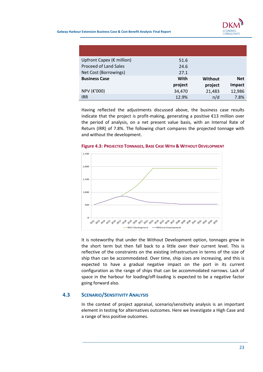

Galway Harbour Extension Business Case & Cost Benefit Analysis Final Report

| Upfront Capex ( $\epsilon$ million) | 51.6    |         |            |
|-------------------------------------|---------|---------|------------|
| <b>Proceed of Land Sales</b>        | 24.6    |         |            |
| Net Cost (Borrowings)               | 27.1    |         |            |
| <b>Business Case</b>                | With    | Without | <b>Net</b> |
|                                     | project | project | Impact     |
| NPV (€'000)                         | 34,470  | 21,483  | 12,986     |
| <b>IRR</b>                          | 12.9%   | n/d     | 7.8%       |

Having reflected the adjustments discussed above, the business case results indicate that the project is profit-making, generating a positive €13 million over the period of analysis, on a net present value basis, with an Internal Rate of Return (IRR) of 7.8%. The following chart compares the projected tonnage with and without the development.



#### Figure 4.3: PROJECTED TONNAGES, BASE CASE WITH & WITHOUT DEVELOPMENT

It is noteworthy that under the Without Development option, tonnages grow in the short term but then fall back to a little over their current level. This is reflective of the constraints on the existing infrastructure in terms of the size of ship than can be accommodated. Over time, ship sizes are increasing, and this is expected to have a gradual negative impact on the port in its current configuration as the range of ships that can be accommodated narrows. Lack of space in the harbour for loading/off-loading is expected to be a negative factor going forward also.

# 4.3 SCENARIO/SENSITIVITY ANALYSIS

In the context of project appraisal, scenario/sensitivity analysis is an important element in testing for alternatives outcomes. Here we investigate a High Case and a range of less positive outcomes.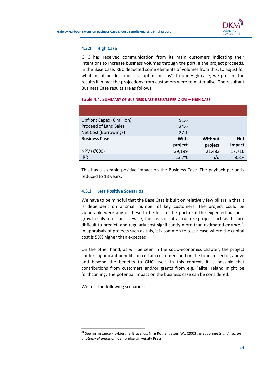

#### 4.3.1 High Case

GHC has received communication from its main customers indicating their intentions to increase business volumes through the port, if the project proceeds. In the Base Case, RBC deducted some elements of volumes from this, to adjust for what might be described as "optimism bias". In our High case, we present the results if in fact the projections from customers were to materialise. The resultant Business Case results are as follows:

#### Table 4.4: SUMMARY OF BUSINESS CASE RESULTS PER DKM – HIGH CASE

| Upfront Capex (€ million)    | 51.6    |         |            |
|------------------------------|---------|---------|------------|
| <b>Proceed of Land Sales</b> | 24.6    |         |            |
| Net Cost (Borrowings)        | 27.1    |         |            |
| <b>Business Case</b>         | With    | Without | <b>Net</b> |
|                              | project | project | Impact     |
| NPV (€'000)                  | 39,199  | 21,483  | 17,716     |
| <b>IRR</b>                   | 13.7%   | n/d     | 8.8%       |

This has a sizeable positive impact on the Business Case. The payback period is reduced to 13 years.

#### 4.3.2 Less Positive Scenarios

We have to be mindful that the Base Case is built on relatively few pillars in that it is dependent on a small number of key customers. The project could be vulnerable were any of these to be lost to the port or if the expected business growth fails to occur. Likewise, the costs of infrastructure project such as this are difficult to predict, and regularly cost significantly more than estimated ex ante<sup>31</sup>. In appraisals of projects such as this, it is common to test a case where the capital cost is 50% higher than expected.

On the other hand, as will be seen in the socio-economics chapter, the project confers significant benefits on certain customers and on the tourism sector, above and beyond the benefits to GHC itself. In this context, it is possible that contributions from customers and/or grants from e.g. Fáilte Ireland might be forthcoming. The potential impact on the business case can be considered.

We test the following scenarios:

 $\overline{a}$ 

 $31$  See for instance Flyvbjerg, B, Bruzelius, N, & Rothengatter, W., (2003), Megaprojects and risk: an anatomy of ambition. Cambridge University Press.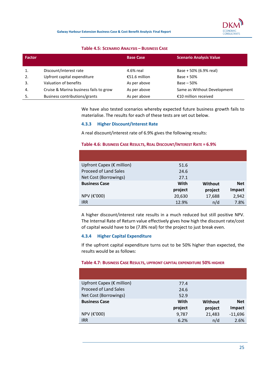

#### Table 4.5: SCENARIO ANALYSIS – BUSINESS CASE

| Factor         |                                        | <b>Base Case</b> | <b>Scenario Analysis Value</b> |
|----------------|----------------------------------------|------------------|--------------------------------|
|                | Discount/interest rate                 | 4.6% real        | Base + 50% (6.9% real)         |
| 2.             | Upfront capital expenditure            | €51.6 million    | Base $+50%$                    |
| $\mathbf{3}$ . | Valuation of benefits                  | As per above     | $Base - 50%$                   |
| 4.             | Cruise & Marina business fails to grow | As per above     | Same as Without Development    |
| 5.             | Business contributions/grants          | As per above     | €10 million received           |

We have also tested scenarios whereby expected future business growth fails to materialise. The results for each of these tests are set out below.

#### 4.3.3 Higher Discount/Interest Rate

A real discount/interest rate of 6.9% gives the following results:

### Table 4.6: BUSINESS CASE RESULTS, REAL DISCOUNT/INTEREST RATE = 6.9%

| Upfront Capex (€ million)    | 51.6    |         |            |
|------------------------------|---------|---------|------------|
| <b>Proceed of Land Sales</b> | 24.6    |         |            |
| Net Cost (Borrowings)        | 27.1    |         |            |
| <b>Business Case</b>         | With    | Without | <b>Net</b> |
|                              | project | project | Impact     |
| NPV (€'000)                  | 20,630  | 17,688  | 2,942      |
| <b>IRR</b>                   | 12.9%   | n/d     | 7.8%       |

A higher discount/interest rate results in a much reduced but still positive NPV. The Internal Rate of Return value effectively gives how high the discount rate/cost of capital would have to be (7.8% real) for the project to just break even.

#### 4.3.4 Higher Capital Expenditure

If the upfront capital expenditure turns out to be 50% higher than expected, the results would be as follows:

#### Table 4.7: BUSINESS CASE RESULTS, UPFRONT CAPITAL EXPENDITURE 50% HIGHER

| Upfront Capex ( $\epsilon$ million) | 77.4    |                |               |
|-------------------------------------|---------|----------------|---------------|
| <b>Proceed of Land Sales</b>        | 24.6    |                |               |
| Net Cost (Borrowings)               | 52.9    |                |               |
| <b>Business Case</b>                | With    | <b>Without</b> | <b>Net</b>    |
|                                     | project | project        | <b>Impact</b> |
| NPV (€'000)                         | 9,787   | 21,483         | $-11,696$     |
| <b>IRR</b>                          | 6.2%    | n/d            | 2.6%          |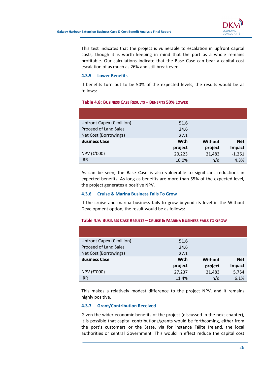

This test indicates that the project is vulnerable to escalation in upfront capital costs, though it is worth keeping in mind that the port as a whole remains profitable. Our calculations indicate that the Base Case can bear a capital cost escalation of as much as 26% and still break even.

#### 4.3.5 Lower Benefits

If benefits turn out to be 50% of the expected levels, the results would be as follows:

#### Table 4.8: BUSINESS CASE RESULTS – BENEFITS 50% LOWER

| Upfront Capex ( $\epsilon$ million) | 51.6    |                |            |
|-------------------------------------|---------|----------------|------------|
| <b>Proceed of Land Sales</b>        | 24.6    |                |            |
| Net Cost (Borrowings)               | 27.1    |                |            |
| <b>Business Case</b>                | With    | <b>Without</b> | <b>Net</b> |
|                                     | project | project        | Impact     |
| NPV (€'000)                         | 20,223  | 21,483         | $-1,261$   |
| <b>IRR</b>                          | 10.0%   | n/d            | 4.3%       |

As can be seen, the Base Case is also vulnerable to significant reductions in expected benefits. As long as benefits are more than 55% of the expected level, the project generates a positive NPV.

#### 4.3.6 Cruise & Marina Business Fails To Grow

If the cruise and marina business fails to grow beyond its level in the Without Development option, the result would be as follows:

#### Upfront Capex ( $\epsilon$  million) 51.6 Proceed of Land Sales 24.6 Net Cost (Borrowings) 27.1 **Business Case** With project **Without** project Net Impact NPV (€'000) 27,237 21,483 5,754

#### Table 4.9: BUSINESS CASE RESULTS – CRUISE & MARINA BUSINESS FAILS TO GROW

This makes a relatively modest difference to the project NPV, and it remains highly positive.

IRR 11.4% n/d 6.1%

#### 4.3.7 Grant/Contribution Received

Given the wider economic benefits of the project (discussed in the next chapter), it is possible that capital contributions/grants would be forthcoming, either from the port's customers or the State, via for instance Fáilte Ireland, the local authorities or central Government. This would in effect reduce the capital cost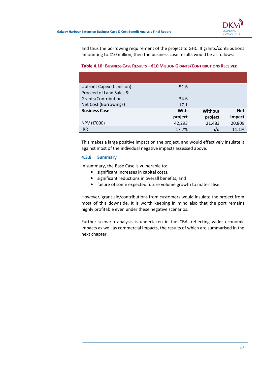

and thus the borrowing requirement of the project to GHC. If grants/contributions amounting to €10 million, then the business case results would be as follows:

| Upfront Capex ( $\epsilon$ million) | 51.6    |                |            |
|-------------------------------------|---------|----------------|------------|
| Proceed of Land Sales &             |         |                |            |
| Grants/Contributions                | 34.6    |                |            |
| Net Cost (Borrowings)               | 17.1    |                |            |
| <b>Business Case</b>                | With    | <b>Without</b> | <b>Net</b> |
|                                     | project | project        | Impact     |
| NPV (€'000)                         | 42,293  | 21,483         | 20,809     |
| <b>IRR</b>                          | 17.7%   | n/d            | 11.1%      |

#### Table 4.10: BUSINESS CASE RESULTS – €10 MILLION GRANTS/CONTRIBUTIONS RECEIVED

This makes a large positive impact on the project, and would effectively insulate it against most of the individual negative impacts assessed above.

#### 4.3.8 Summary

In summary, the Base Case is vulnerable to:

- significant increases in capital costs,
- significant reductions in overall benefits, and
- failure of some expected future volume growth to materialise.

However, grant aid/contributions from customers would insulate the project from most of this downside. It is worth keeping in mind also that the port remains highly profitable even under these negative scenarios.

Further scenario analysis is undertaken in the CBA, reflecting wider economic impacts as well as commercial impacts, the results of which are summarised in the next chapter.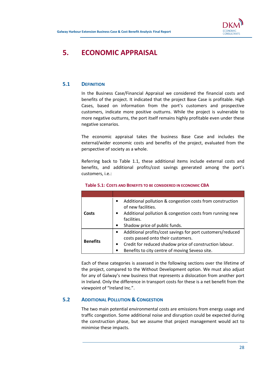

# 5. ECONOMIC APPRAISAL

# 5.1 DEFINITION

In the Business Case/Financial Appraisal we considered the financial costs and benefits of the project. It indicated that the project Base Case is profitable. High Cases, based on information from the port's customers and prospective customers, indicate more positive outturns. While the project is vulnerable to more negative outturns, the port itself remains highly profitable even under these negative scenarios.

The economic appraisal takes the business Base Case and includes the external/wider economic costs and benefits of the project, evaluated from the perspective of society as a whole.

Referring back to Table 1.1, these additional items include external costs and benefits, and additional profits/cost savings generated among the port's customers, i.e.:

| Costs           | Additional pollution & congestion costs from construction<br>of new facilities.<br>Additional pollution & congestion costs from running new<br>facilities.<br>Shadow price of public funds.                                |
|-----------------|----------------------------------------------------------------------------------------------------------------------------------------------------------------------------------------------------------------------------|
| <b>Benefits</b> | Additional profits/cost savings for port customers/reduced<br>costs passed onto their customers.<br>Credit for reduced shadow price of construction labour.<br>$\bullet$<br>Benefits to city centre of moving Seveso site. |

#### Table 5.1: COSTS AND BENEFITS TO BE CONSIDERED IN ECONOMIC CBA

Each of these categories is assessed in the following sections over the lifetime of the project, compared to the Without Development option. We must also adjust for any of Galway's new business that represents a dislocation from another port in Ireland. Only the difference in transport costs for these is a net benefit from the viewpoint of "Ireland Inc.".

# 5.2 ADDITIONAL POLLUTION & CONGESTION

The two main potential environmental costs are emissions from energy usage and traffic congestion. Some additional noise and disruption could be expected during the construction phase, but we assume that project management would act to minimise these impacts.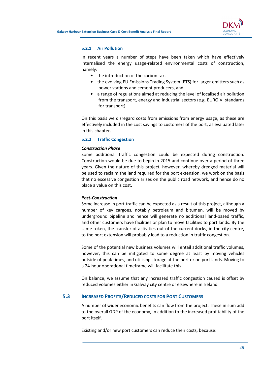

#### 5.2.1 Air Pollution

In recent years a number of steps have been taken which have effectively internalised the energy usage-related environmental costs of construction, namely:

- the introduction of the carbon tax.
- the evolving EU Emissions Trading System (ETS) for larger emitters such as power stations and cement producers, and
- a range of regulations aimed at reducing the level of localised air pollution from the transport, energy and industrial sectors (e.g. EURO VI standards for transport).

On this basis we disregard costs from emissions from energy usage, as these are effectively included in the cost savings to customers of the port, as evaluated later in this chapter.

#### 5.2.2 Traffic Congestion

#### Construction Phase

Some additional traffic congestion could be expected during construction. Construction would be due to begin in 2015 and continue over a period of three years. Given the nature of this project, however, whereby dredged material will be used to reclaim the land required for the port extension, we work on the basis that no excessive congestion arises on the public road network, and hence do no place a value on this cost.

#### Post-Construction

Some increase in port traffic can be expected as a result of this project, although a number of key cargoes, notably petroleum and bitumen, will be moved by underground pipeline and hence will generate no additional land-based traffic, and other customers have facilities or plan to move facilities to port lands. By the same token, the transfer of activities out of the current docks, in the city centre, to the port extension will probably lead to a reduction in traffic congestion.

Some of the potential new business volumes will entail additional traffic volumes, however, this can be mitigated to some degree at least by moving vehicles outside of peak times, and utilising storage at the port or on port lands. Moving to a 24-hour operational timeframe will facilitate this.

On balance, we assume that any increased traffic congestion caused is offset by reduced volumes either in Galway city centre or elsewhere in Ireland.

#### 5.3 INCREASED PROFITS/REDUCED COSTS FOR PORT CUSTOMERS

A number of wider economic benefits can flow from the project. These in sum add to the overall GDP of the economy, in addition to the increased profitability of the port itself.

Existing and/or new port customers can reduce their costs, because: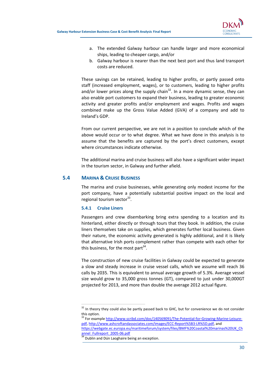

- a. The extended Galway harbour can handle larger and more economical ships, leading to cheaper cargo, and/or
- b. Galway harbour is nearer than the next best port and thus land transport costs are reduced.

These savings can be retained, leading to higher profits, or partly passed onto staff (increased employment, wages), or to customers, leading to higher profits and/or lower prices along the supply chain<sup>32</sup>. In a more dynamic sense, they can also enable port customers to expand their business, leading to greater economic activity and greater profits and/or employment and wages. Profits and wages combined make up the Gross Value Added (GVA) of a company and add to Ireland's GDP.

From our current perspective, we are not in a position to conclude which of the above would occur or to what degree. What we have done in this analysis is to assume that the benefits are captured by the port's direct customers, except where circumstances indicate otherwise.

The additional marina and cruise business will also have a significant wider impact in the tourism sector, in Galway and further afield.

## 5.4 MARINA & CRUISE BUSINESS

The marina and cruise businesses, while generating only modest income for the port company, have a potentially substantial positive impact on the local and regional tourism sector<sup>33</sup>.

#### 5.4.1 Cruise Liners

 $\overline{a}$ 

Passengers and crew disembarking bring extra spending to a location and its hinterland, either directly or through tours that they book. In addition, the cruise liners themselves take on supplies, which generates further local business. Given their nature, the economic activity generated is highly additional, and it is likely that alternative Irish ports complement rather than compete with each other for this business, for the most part<sup>34</sup>.

The construction of new cruise facilities in Galway could be expected to generate a slow and steady increase in cruise vessel calls, which we assume will reach 36 calls by 2035. This is equivalent to annual average growth of 5.3%. Average vessel size would grow to 35,000 gross tonnes (GT), compared to just under 30,000GT projected for 2013, and more than double the average 2012 actual figure.

<sup>&</sup>lt;sup>32</sup> In theory they could also be partly passed back to GHC, but for convenience we do not consider this option.

<sup>&</sup>lt;sup>33</sup> For example http://www.scribd.com/doc/140569091/The-Potential-for-Growing-Marine-Leisurepdf, http://www.ashcroftandassociates.com/images/ECC-Report%5B3-LR%5D.pdf, and https://webgate.ec.europa.eu/maritimeforum/system/files/BMF%20Coastal%20marinas%20UK\_Ch annel Fullreport 2005-06.pdf

 $\frac{34}{34}$  Dublin and Dún Laoghaire being an exception.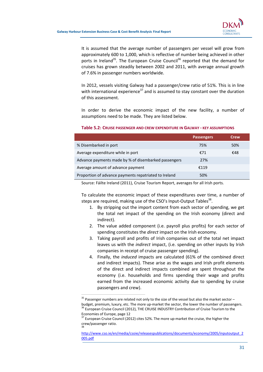

It is assumed that the average number of passengers per vessel will grow from approximately 600 to 1,000, which is reflective of number being achieved in other ports in Ireland<sup>35</sup>. The European Cruise Council<sup>36</sup> reported that the demand for cruises has grown steadily between 2002 and 2011, with average annual growth of 7.6% in passenger numbers worldwide.

In 2012, vessels visiting Galway had a passenger/crew ratio of 51%. This is in line with international experience<sup>37</sup> and is assumed to stay constant over the duration of this assessment.

In order to derive the economic impact of the new facility, a number of assumptions need to be made. They are listed below.

|                                                       | <b>Passengers</b> | Crew |
|-------------------------------------------------------|-------------------|------|
| % Disembarked in port                                 | 75%               | 50%  |
| Average expenditure while in port                     | €71               | €48  |
| Advance payments made by % of disembarked passengers  | 27%               |      |
| Average amount of advance payment                     | £119              |      |
| Proportion of advance payments repatriated to Ireland | 50%               |      |

#### Table 5.2: CRUISE PASSENGER AND CREW EXPENDITURE IN GALWAY - KEY ASSUMPTIONS

Source: Fáilte Ireland (2011), Cruise Tourism Report, averages for all Irish ports.

To calculate the economic impact of these expenditures over time, a number of steps are required, making use of the CSO's Input-Output Tables<sup>38</sup>.

- 1. By stripping out the import content from each sector of spending, we get the total net impact of the spending on the Irish economy (direct and indirect).
- 2. The value added component (i.e. payroll plus profits) for each sector of spending constitutes the *direct* impact on the Irish economy.
- 3. Taking payroll and profits of Irish companies out of the total net impact leaves us with the indirect impact, (i.e. spending on other inputs by Irish companies in receipt of cruise passenger spending).
- 4. Finally, the induced impacts are calculated (61% of the combined direct and indirect impacts). These arise as the wages and Irish profit elements of the direct and indirect impacts combined are spent throughout the economy (i.e. households and firms spending their wage and profits earned from the increased economic activity due to spending by cruise passengers and crew).

 $\overline{a}$ 

 $35$  Passenger numbers are related not only to the size of the vessel but also the market sector – budget, premium, luxury, etc. The more up-market the sector, the lower the number of passengers. <sup>36</sup> European Cruise Council (2012), THE CRUISE INDUSTRY Contribution of Cruise Tourism to the Economies of Europe, page 12

 $37$  European Cruise Council (2012) cites 52%. The more up-market the cruise, the higher the crew/passenger ratio. 38

http://www.cso.ie/en/media/csoie/releasespublications/documents/economy/2005/inputoutput\_2 005.pdf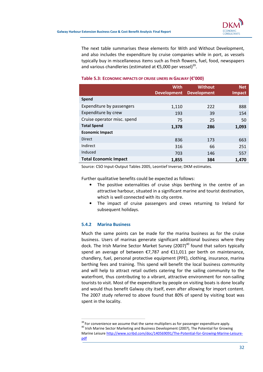The next table summarises these elements for With and Without Development, and also includes the expenditure by cruise companies while in port, as vessels typically buy in miscellaneous items such as fresh flowers, fuel, food, newspapers and various chandleries (estimated at  $E$ 5,000 per vessel)<sup>39</sup>.

|                              | <b>With</b><br><b>Development</b> | <b>Without</b><br><b>Development</b> | <b>Net</b><br>Impact |
|------------------------------|-----------------------------------|--------------------------------------|----------------------|
| Spend                        |                                   |                                      |                      |
| Expenditure by passengers    | 1,110                             | 222                                  | 888                  |
| Expenditure by crew          | 193                               | 39                                   | 154                  |
| Cruise operator misc. spend  | 75                                | 25                                   | 50                   |
| <b>Total Spend</b>           | 1,378                             | 286                                  | 1,093                |
| <b>Economic Impact</b>       |                                   |                                      |                      |
| <b>Direct</b>                | 836                               | 173                                  | 663                  |
| Indirect                     | 316                               | 66                                   | 251                  |
| Induced                      | 703                               | 146                                  | 557                  |
| <b>Total Economic Impact</b> | 1,855                             | 384                                  | 1,470                |

#### Table 5.3: ECONOMIC IMPACTS OF CRUISE LINERS IN GALWAY (€'000)

Source: CSO Input-Output Tables 2005, Leontief Inverse; DKM estimates.

Further qualitative benefits could be expected as follows:

- The positive externalities of cruise ships berthing in the centre of an attractive harbour, situated in a significant marine and tourist destination, which is well connected with its city centre.
- The impact of cruise passengers and crews returning to Ireland for subsequent holidays.

#### 5.4.2 Marina Business

 $\overline{a}$ 

Much the same points can be made for the marina business as for the cruise business. Users of marinas generate significant additional business where they dock. The Irish Marine Sector Market Survey (2007)<sup>40</sup> found that sailors typically spend an average of between €7,787 and €11,011 per berth on maintenance, chandlery, fuel, personal protective equipment (PPE), clothing, insurance, marina berthing fees and training. This spend will benefit the local business community and will help to attract retail outlets catering for the sailing community to the waterfront, thus contributing to a vibrant, attractive environment for non-sailing tourists to visit. Most of the expenditure by people on visiting boats is done locally and would thus benefit Galway city itself, even after allowing for import content. The 2007 study referred to above found that 80% of spend by visiting boat was spent in the locality.

<sup>&</sup>lt;sup>39</sup> For convenience we assume that the same multipliers as for passenger expenditure apply. <sup>40</sup> Irish Marine Sector Marketing and Business Development (2007), The Potential for Growing Marine Leisure http://www.scribd.com/doc/140569091/The-Potential-for-Growing-Marine-Leisurepdf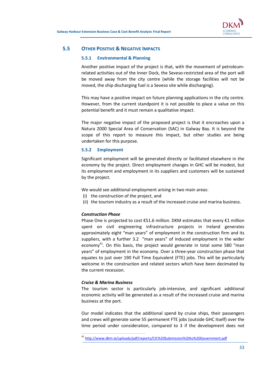

### 5.5 OTHER POSITIVE & NEGATIVE IMPACTS

#### 5.5.1 Environmental & Planning

Another positive impact of the project is that, with the movement of petroleumrelated activities out of the Inner Dock, the Seveso-restricted area of the port will be moved away from the city centre (while the storage facilities will not be moved, the ship discharging fuel is a Seveso site while discharging).

This may have a positive impact on future planning applications in the city centre. However, from the current standpoint it is not possible to place a value on this potential benefit and it must remain a qualitative impact.

The major negative impact of the proposed project is that it encroaches upon a Natura 2000 Special Area of Conservation (SAC) in Galway Bay. It is beyond the scope of this report to measure this impact, but other studies are being undertaken for this purpose.

#### 5.5.2 Employment

Significant employment will be generated directly or facilitated elsewhere in the economy by the project. Direct employment changes in GHC will be modest, but its employment and employment in its suppliers and customers will be sustained by the project.

We would see additional employment arising in two main areas:

- (i) the construction of the project, and
- (ii) the tourism industry as a result of the increased cruise and marina business.

#### Construction Phase

Phase One is projected to cost €51.6 million. DKM estimates that every €1 million spent on civil engineering infrastructure projects in Ireland generates approximately eight "man years" of employment in the construction firm and its suppliers, with a further 3.2 "man years" of induced employment in the wider economy<sup>41</sup>. On this basis, the project would generate in total some 580 "man years" of employment in the economy. Over a three-year construction phase that equates to just over 190 Full Time Equivalent (FTE) jobs. This will be particularly welcome in the construction and related sectors which have been decimated by the current recession.

#### Cruise & Marina Business

 $\overline{a}$ 

The tourism sector is particularly job-intensive, and significant additional economic activity will be generated as a result of the increased cruise and marina business at the port.

Our model indicates that the additional spend by cruise ships, their passengers and crews will generate some 55 permanent FTE jobs (outside GHC itself) over the time period under consideration, compared to 3 if the development does not

<sup>41</sup> http://www.dkm.ie/uploads/pdf/reports/CIC%20Submission%20to%20Government.pdf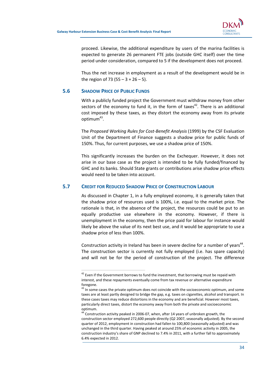

proceed. Likewise, the additional expenditure by users of the marina facilities is expected to generate 26 permanent FTE jobs (outside GHC itself) over the time period under consideration, compared to 5 if the development does not proceed.

Thus the net increase in employment as a result of the development would be in the region of 73 (55 –  $3 + 26 - 5$ ).

# 5.6 SHADOW PRICE OF PUBLIC FUNDS

 $\overline{a}$ 

With a publicly funded project the Government must withdraw money from other sectors of the economy to fund it, in the form of taxes<sup>42</sup>. There is an additional cost imposed by these taxes, as they distort the economy away from its private optimum<sup>43</sup>.

The Proposed Working Rules for Cost-Benefit Analysis (1999) by the CSF Evaluation Unit of the Department of Finance suggests a shadow price for public funds of 150%. Thus, for current purposes, we use a shadow price of 150%.

This significantly increases the burden on the Exchequer. However, it does not arise in our base case as the project is intended to be fully funded/financed by GHC and its banks. Should State grants or contributions arise shadow price effects would need to be taken into account.

# 5.7 CREDIT FOR REDUCED SHADOW PRICE OF CONSTRUCTION LABOUR

As discussed in Chapter 1, in a fully employed economy, it is generally taken that the shadow price of resources used is 100%, i.e. equal to the market price. The rationale is that, in the absence of the project, the resources could be put to an equally productive use elsewhere in the economy. However, if there is unemployment in the economy, then the price paid for labour for instance would likely be above the value of its next best use, and it would be appropriate to use a shadow price of less than 100%.

Construction activity in Ireland has been in severe decline for a number of years $44$ . The construction sector is currently not fully employed (i.e. has spare capacity) and will not be for the period of construction of the project. The difference

 $42$  Even if the Government borrows to fund the investment, that borrowing must be repaid with interest, and these repayments eventually come from tax revenue or alternative expenditure foregone.

<sup>&</sup>lt;sup>43</sup> In some cases the private optimum does not coincide with the socioeconomic optimum, and some taxes are at least partly designed to bridge the gap, e.g. taxes on cigarettes, alcohol and transport. In these cases taxes may reduce distortions in the economy and are beneficial. However most taxes, particularly direct taxes, distort the economy away from both the private and socioeconomic optimum.

 $44$  Construction activity peaked in 2006-07, when, after 14 years of unbroken growth, the construction sector employed 272,600 people directly (Q2 2007, seasonally adjusted). By the second quarter of 2012, employment in construction had fallen to 100,800 (seasonally adjusted) and was unchanged in the third quarter. Having peaked at around 25% of economic activity in 2005, the construction industry's share of GNP declined to 7.4% in 2011, with a further fall to approximately 6.4% expected in 2012.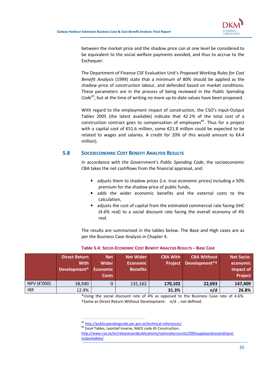

between the market price and the shadow price can at one level be considered to be equivalent to the social welfare payments avoided, and thus to accrue to the Exchequer.

The Department of Finance CSF Evaluation Unit's Proposed Working Rules for Cost Benefit Analysis (1999) state that a minimum of 80% should be applied as the shadow price of construction labour, and defended based on market conditions. These parameters are in the process of being reviewed in the Public Spending Code<sup>45</sup>, but at the time of writing no more up-to-date values have been proposed.

With regard to the employment impact of construction, the CSO's Input-Output Tables 2005 (the latest available) indicate that 42.2% of the total cost of a construction contract goes to compensation of employees<sup>46</sup>. Thus for a project with a capital cost of €51.6 million, some €21.8 million could be expected to be related to wages and salaries. A credit for 20% of this would amount to  $\epsilon$ 4.4 million).

# 5.8 SOCIOECONOMIC COST BENEFIT ANALYSIS RESULTS

In accordance with the Government's Public Spending Code, the socioeconomic CBA takes the net cashflows from the financial appraisal, and:

- adjusts them to shadow prices (i.e. true economic prices) including a 50% premium for the shadow price of public funds,
- adds the wider economic benefits and the external costs to the calculation,
- adjusts the cost of capital from the estimated commercial rate facing GHC (4.6% real) to a social discount rate facing the overall economy of 4% real.

The results are summarised in the tables below. The Base and High cases are as per the Business Case Analysis in Chapter 4.

|                           | <b>Direct Return</b><br><b>With</b><br>Development* | <b>Net</b><br><b>Wider</b><br><b>Economic</b><br><b>Costs</b> | <b>Net Wider</b><br><b>Economic</b><br><b>Benefits</b> | <b>CBA With</b><br><b>Project</b> | <b>CBA Without</b><br>Development*† | <b>Net Socio-</b><br>economic<br>Impact of<br><b>Project</b> |
|---------------------------|-----------------------------------------------------|---------------------------------------------------------------|--------------------------------------------------------|-----------------------------------|-------------------------------------|--------------------------------------------------------------|
| NPV ( $\varepsilon$ '000) | 38,940                                              |                                                               | 131,162                                                | 170,102                           | 22,693                              | 147,409                                                      |
| <b>IRR</b>                | 12.9%                                               |                                                               |                                                        | 31.3%                             | n/d                                 | 26.8%                                                        |

#### Table 5.4: SOCIO-ECONOMIC COST BENEFIT ANALYSIS RESULTS – BASE CASE

\*Using the social discount rate of 4% as opposed to the Business Case rate of 4.6%. †Same as Direct Return Without Development. n/d .. not defined.

<sup>45</sup> http://publicspendingcode.per.gov.ie/technical-references/

 $\overline{a}$ 

<sup>46</sup> Excel Tables, Leontief Inverse, NACE code 45 Construction,

http://www.cso.ie/en/releasesandpublications/nationalaccounts/2005supplyanduseandinputoutputtables/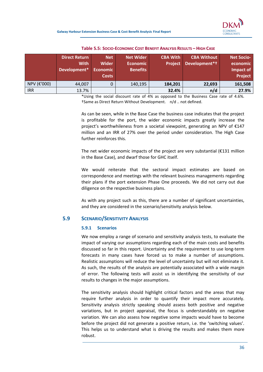

|             | <b>Direct Return</b><br><b>With</b><br>Development* | <b>Net</b><br>Wider<br><b>Economic</b><br><b>Costs</b> | <b>Net Wider</b><br><b>Economic</b><br><b>Benefits</b> | <b>CBA With</b><br><b>Project</b> | <b>CBA Without</b><br>Development*† | <b>Net Socio-</b><br>economic<br>Impact of<br><b>Project</b> |
|-------------|-----------------------------------------------------|--------------------------------------------------------|--------------------------------------------------------|-----------------------------------|-------------------------------------|--------------------------------------------------------------|
| NPV (€'000) | 44,007                                              | 0                                                      | 140,195                                                | 184,201                           | 22,693                              | 161,508                                                      |
| <b>IRR</b>  | 13.7%                                               |                                                        |                                                        | 32.4%                             | n/d                                 | 27.9%                                                        |

#### Table 5.5: SOCIO-ECONOMIC COST BENEFIT ANALYSIS RESULTS – HIGH CASE

\*Using the social discount rate of 4% as opposed to the Business Case rate of 4.6%. †Same as Direct Return Without Development. n/d .. not defined.

As can be seen, while in the Base Case the business case indicates that the project is profitable for the port, the wider economic impacts greatly increase the project's worthwhileness from a societal viewpoint, generating an NPV of €147 million and an IRR of 27% over the period under consideration. The High Case further reinforces this.

The net wider economic impacts of the project are very substantial  $(E131$  million in the Base Case), and dwarf those for GHC itself.

We would reiterate that the sectoral impact estimates are based on correspondence and meetings with the relevant business managements regarding their plans if the port extension Phase One proceeds. We did not carry out due diligence on the respective business plans.

As with any project such as this, there are a number of significant uncertainties, and they are considered in the scenario/sensitivity analysis below.

#### 5.9 SCENARIO/SENSITIVITY ANALYSIS

#### 5.9.1 Scenarios

We now employ a range of scenario and sensitivity analysis tests, to evaluate the impact of varying our assumptions regarding each of the main costs and benefits discussed so far in this report. Uncertainty and the requirement to use long-term forecasts in many cases have forced us to make a number of assumptions. Realistic assumptions will reduce the level of uncertainty but will not eliminate it. As such, the results of the analysis are potentially associated with a wide margin of error. The following tests will assist us in identifying the sensitivity of our results to changes in the major assumptions.

The sensitivity analysis should highlight critical factors and the areas that may require further analysis in order to quantify their impact more accurately. Sensitivity analysis strictly speaking should assess both positive and negative variations, but in project appraisal, the focus is understandably on negative variation. We can also assess how negative some impacts would have to become before the project did not generate a positive return, i.e. the 'switching values'. This helps us to understand what is driving the results and makes them more robust.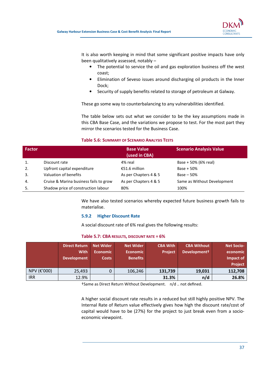

It is also worth keeping in mind that some significant positive impacts have only been qualitatively assessed, notably –

- The potential to service the oil and gas exploration business off the west coast;
- Elimination of Seveso issues around discharging oil products in the Inner Dock;
- Security of supply benefits related to storage of petroleum at Galway.

These go some way to counterbalancing to any vulnerabilities identified.

The table below sets out what we consider to be the key assumptions made in this CBA Base Case, and the variations we propose to test. For the most part they mirror the scenarios tested for the Business Case.

#### Table 5.6: SUMMARY OF SCENARIO ANALYSIS TESTS

| Factor |                                        | <b>Base Value</b><br>(used in CBA) | <b>Scenario Analysis Value</b> |
|--------|----------------------------------------|------------------------------------|--------------------------------|
|        | Discount rate                          | 4% real                            | Base + 50% (6% real)           |
| 2.     | Upfront capital expenditure            | €51.6 million                      | Base $+50%$                    |
| 3.     | Valuation of benefits                  | As per Chapters 4 & 5              | $Base - 50%$                   |
| 4.     | Cruise & Marina business fails to grow | As per Chapters 4 & 5              | Same as Without Development    |
| 5.     | Shadow price of construction labour    | 80%                                | 100%                           |

We have also tested scenarios whereby expected future business growth fails to materialise.

#### 5.9.2 Higher Discount Rate

A social discount rate of 6% real gives the following results:

#### Table 5.7: CBA RESULTS, DISCOUNT RATE = 6%

|             | <b>Direct Return</b><br><b>With</b><br><b>Development</b> | <b>Net Wider</b><br><b>Economic</b><br><b>Costs</b> | <b>Net Wider</b><br><b>Economic</b><br><b>Benefits</b> | <b>CBA With</b><br><b>Project</b> | <b>CBA Without</b><br>Development <sup>+</sup> | <b>Net Socio-</b><br>economic<br>Impact of<br><b>Project</b> |
|-------------|-----------------------------------------------------------|-----------------------------------------------------|--------------------------------------------------------|-----------------------------------|------------------------------------------------|--------------------------------------------------------------|
| NPV (€'000) | 25,493                                                    | 0                                                   | 106,246                                                | 131,739                           | 19,031                                         | 112,708                                                      |
| <b>IRR</b>  | 12.9%                                                     |                                                     |                                                        | 31.3%                             | n/d                                            | 26.8%                                                        |

†Same as Direct Return Without Development. n/d .. not defined.

A higher social discount rate results in a reduced but still highly positive NPV. The Internal Rate of Return value effectively gives how high the discount rate/cost of capital would have to be (27%) for the project to just break even from a socioeconomic viewpoint.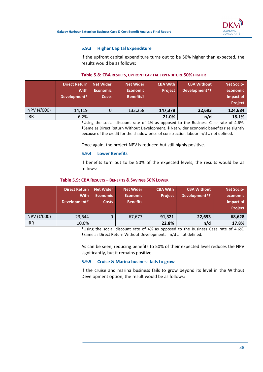

### 5.9.3 Higher Capital Expenditure

If the upfront capital expenditure turns out to be 50% higher than expected, the results would be as follows:

|             | <b>Direct Return</b><br>With<br>Development* | <b>Net Wider</b><br><b>Economic</b><br><b>Costs</b> | <b>Net Wider</b><br><b>Economic</b><br>Benefits# | <b>CBA With</b><br><b>Project</b> | <b>CBA Without</b><br>Development*† | <b>Net Socio-</b><br>economic<br>Impact of<br><b>Project</b> |
|-------------|----------------------------------------------|-----------------------------------------------------|--------------------------------------------------|-----------------------------------|-------------------------------------|--------------------------------------------------------------|
| NPV (€'000) | 14,119                                       |                                                     | 133,258                                          | 147,378                           | 22,693                              | 124,684                                                      |
| <b>IRR</b>  | 6.2%                                         |                                                     |                                                  | 21.0%                             | n/d                                 | 18.1%                                                        |

#### Table 5.8: CBA RESULTS, UPFRONT CAPITAL EXPENDITURE 50% HIGHER

\*Using the social discount rate of 4% as opposed to the Business Case rate of 4.6%. †Same as Direct Return Without Development. ‡ Net wider economic benefits rise slightly because of the credit for the shadow price of construction labour. n/d .. not defined.

Once again, the project NPV is reduced but still highly positive.

#### 5.9.4 Lower Benefits

If benefits turn out to be 50% of the expected levels, the results would be as follows:

#### Table 5.9: CBA RESULTS – BENEFITS & SAVINGS 50% LOWER

|             | <b>Direct Return</b><br><b>With</b><br>Development* | <b>Net Wider</b><br><b>Economic</b><br><b>Costs</b> | <b>Net Wider</b><br><b>Economic</b><br><b>Benefits</b> | <b>CBA With</b><br><b>Project</b> | <b>CBA Without</b><br>Development*† | <b>Net Socio-</b><br>economic<br>Impact of<br>Project |
|-------------|-----------------------------------------------------|-----------------------------------------------------|--------------------------------------------------------|-----------------------------------|-------------------------------------|-------------------------------------------------------|
| NPV (€'000) | 23,644                                              |                                                     | 67,677                                                 | 91,321                            | 22,693                              | 68,628                                                |
| <b>IRR</b>  | 10.0%                                               |                                                     |                                                        | 22.8%                             | n/d                                 | 17.8%                                                 |

\*Using the social discount rate of 4% as opposed to the Business Case rate of 4.6%. †Same as Direct Return Without Development. n/d .. not defined.

As can be seen, reducing benefits to 50% of their expected level reduces the NPV significantly, but it remains positive.

#### 5.9.5 Cruise & Marina business fails to grow

If the cruise and marina business fails to grow beyond its level in the Without Development option, the result would be as follows: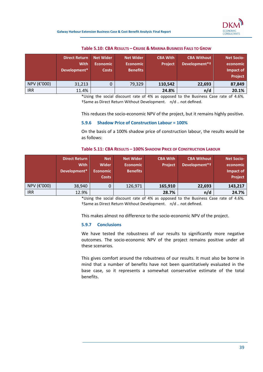

|             | <b>Direct Return</b><br><b>With</b><br>Development* | <b>Net Wider</b><br><b>Economic</b><br><b>Costs</b> | <b>Net Wider</b><br><b>Economic</b><br><b>Benefits</b> | <b>CBA With</b><br><b>Project</b> | <b>CBA Without</b><br>Development*t | <b>Net Socio-</b><br>economic<br>Impact of<br>Project |
|-------------|-----------------------------------------------------|-----------------------------------------------------|--------------------------------------------------------|-----------------------------------|-------------------------------------|-------------------------------------------------------|
| NPV (€'000) | 31,213                                              |                                                     | 79,329                                                 | 110,542                           | 22,693                              | 87,849                                                |
| <b>IRR</b>  | 11.4%                                               |                                                     |                                                        | 24.8%                             | n/d                                 | 20.1%                                                 |

#### Table 5.10: CBA RESULTS – CRUISE & MARINA BUSINESS FAILS TO GROW

\*Using the social discount rate of 4% as opposed to the Business Case rate of 4.6%. †Same as Direct Return Without Development. n/d .. not defined.

This reduces the socio-economic NPV of the project, but it remains highly positive.

#### 5.9.6 Shadow Price of Construction Labour = 100%

On the basis of a 100% shadow price of construction labour, the results would be as follows:

|                      |        |           |                 | Table 5.11: CBA RESULTS - 100% SHADOW PRICE OF CONSTRUCTION LABOUR |     |
|----------------------|--------|-----------|-----------------|--------------------------------------------------------------------|-----|
| <b>Direct Return</b> | $N$ et | Net Wider | <b>CBA With</b> | <b>CBA Without</b>                                                 | Net |

|             | <b>Direct Return</b><br><b>With</b><br>Development* | <b>Net</b><br><b>Wider</b><br><b>Economic</b><br><b>Costs</b> | <b>Net Wider</b><br><b>Economic</b><br><b>Benefits</b> | <b>CBA With</b><br><b>Project</b> | <b>CBA Without</b><br>Development*† | <b>Net Socio-</b><br>economic<br>Impact of<br>Project |
|-------------|-----------------------------------------------------|---------------------------------------------------------------|--------------------------------------------------------|-----------------------------------|-------------------------------------|-------------------------------------------------------|
| NPV (€'000) | 38,940                                              | 0                                                             | 126,971                                                | 165,910                           | 22,693                              | 143,217                                               |
| <b>IRR</b>  | 12.9%                                               |                                                               |                                                        | 28.7%                             | n/d                                 | 24.7%                                                 |

\*Using the social discount rate of 4% as opposed to the Business Case rate of 4.6%. †Same as Direct Return Without Development. n/d .. not defined.

This makes almost no difference to the socio-economic NPV of the project.

#### 5.9.7 Conclusions

We have tested the robustness of our results to significantly more negative outcomes. The socio-economic NPV of the project remains positive under all these scenarios.

This gives comfort around the robustness of our results. It must also be borne in mind that a number of benefits have not been quantitatively evaluated in the base case, so it represents a somewhat conservative estimate of the total benefits.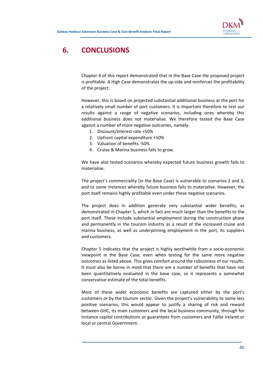

# 6. CONCLUSIONS

Chapter 4 of this report demonstrated that in the Base Case the proposed project is profitable. A High Case demonstrates the up-side and reinforces the profitability of the project.

However, this is based on projected substantial additional business at the port for a relatively small number of port customers. It is important therefore to test our results against a range of negative scenarios, including ones whereby this additional business does not materialise. We therefore tested the Base Case against a number of more negative outcomes, namely:

- 1. Discount/interest rate +50%
- 2. Upfront capital expenditure +50%
- 3. Valuation of benefits -50%
- 4. Cruise & Marina business fails to grow.

We have also tested scenarios whereby expected future business growth fails to materialise.

The project's commerciality (in the Base Case) is vulnerable to scenarios 2 and 3, and to some instances whereby future business fails to materialise. However, the port itself remains highly profitable even under these negative scenarios.

The project does in addition generate very substantial wider benefits, as demonstrated in Chapter 5, which in fact are much larger than the benefits to the port itself. These include substantial employment during the construction phase and permanently in the tourism industry as a result of the increased cruise and marina business, as well as underpinning employment in the port, its suppliers and customers.

Chapter 5 indicates that the project is highly worthwhile from a socio-economic viewpoint in the Base Case, even when testing for the same more negative outcomes as listed above. This gives comfort around the robustness of our results. It must also be borne in mind that there are a number of benefits that have not been quantitatively evaluated in the base case, so it represents a somewhat conservative estimate of the total benefits.

Most of these wider economic benefits are captured either by the port's customers or by the tourism sector. Given the project's vulnerability to some less positive scenarios, this would appear to justify a sharing of risk and reward between GHC, its main customers and the local business community, through for instance capital contributions or guarantees from customers and Fáilte Ireland or local or central Government.